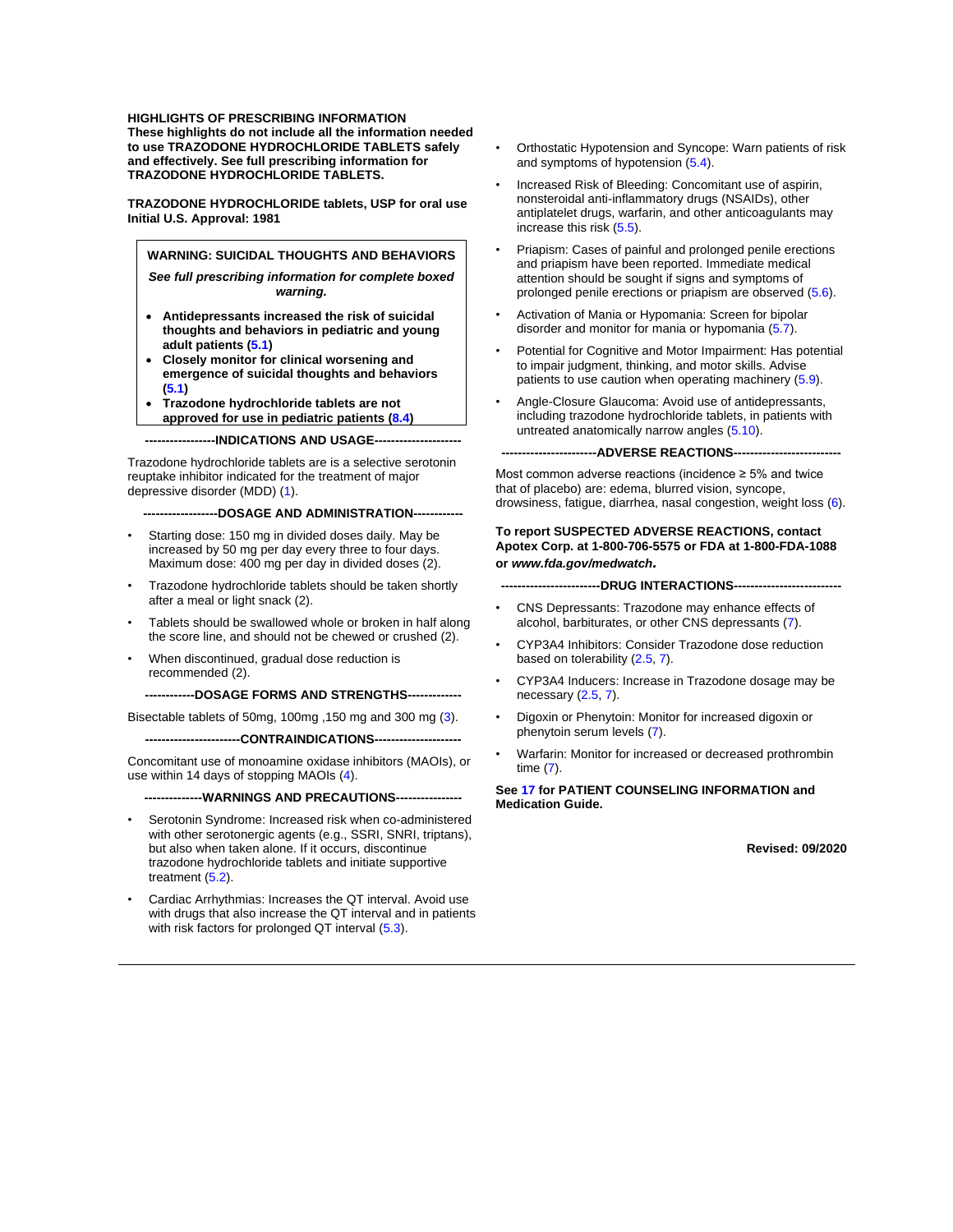**HIGHLIGHTS OF PRESCRIBING INFORMATION These highlights do not include all the information needed to use TRAZODONE HYDROCHLORIDE TABLETS safely and effectively. See full prescribing information for TRAZODONE HYDROCHLORIDE TABLETS.**

**TRAZODONE HYDROCHLORIDE tablets, USP for oral use Initial U.S. Approval: 1981**

*See full prescribing information for complete boxed warning.*

- **Antidepressants increased the risk of suicidal thoughts and behaviors in pediatric and young adult patients [\(5.1\)](#page-3-0)**
- **Closely monitor for clinical worsening and emergence of suicidal thoughts and behaviors [\(5.1\)](#page-3-0)**
- **Trazodone hydrochloride tablets are not approved for use in pediatric patients [\(8.4\)](#page-11-0)**

---INDICATIONS AND USAGE-

Trazodone hydrochloride tablets are is a selective serotonin reuptake inhibitor indicated for the treatment of major depressive disorder (MDD) [\(1\)](#page-2-0).

**------------------DOSAGE AND ADMINISTRATION------------**

- Starting dose: 150 mg in divided doses daily. May be increased by 50 mg per day every three to four days. Maximum dose: 400 mg per day in divided doses (2).
- Trazodone hydrochloride tablets should be taken shortly after a meal or light snack (2).
- Tablets should be swallowed whole or broken in half along the score line, and should not be chewed or crushed (2).
- When discontinued, gradual dose reduction is recommended (2).

**------------DOSAGE FORMS AND STRENGTHS-------------**

Bisectable tablets of 50mg, 100mg ,150 mg and 300 mg [\(3\)](#page-3-1).

**-----------------------CONTRAINDICATIONS---------------------** Concomitant use of monoamine oxidase inhibitors (MAOIs), or use within 14 days of stopping MAOIs [\(4\).](#page-3-2)

**--------------WARNINGS AND PRECAUTIONS----------------**

- Serotonin Syndrome: Increased risk when co-administered with other serotonergic agents (e.g., SSRI, SNRI, triptans), but also when taken alone. If it occurs, discontinue trazodone hydrochloride tablets and initiate supportive treatment [\(5.2\).](#page-4-0)
- Cardiac Arrhythmias: Increases the QT interval. Avoid use with drugs that also increase the QT interval and in patients with risk factors for prolonged QT interval [\(5.3\)](#page-5-0).
- Orthostatic Hypotension and Syncope: Warn patients of risk and symptoms of hypotension [\(5.4\)](#page-5-1).
- Increased Risk of Bleeding: Concomitant use of aspirin, nonsteroidal anti-inflammatory drugs (NSAIDs), other antiplatelet drugs, warfarin, and other anticoagulants may increase this risk [\(5.5\)](#page-5-2).
- Priapism: Cases of painful and prolonged penile erections and priapism have been reported. Immediate medical attention should be sought if signs and symptoms of prolonged penile erections or priapism are observed [\(5.6\)](#page-5-3).
- Activation of Mania or Hypomania: Screen for bipolar disorder and monitor for mania or hypomania [\(5.7\)](#page-6-0).
- Potential for Cognitive and Motor Impairment: Has potential to impair judgment, thinking, and motor skills. Advise patients to use caution when operating machinery [\(5.9\)](#page-6-1).
- Angle-Closure Glaucoma: Avoid use of antidepressants, including trazodone hydrochloride tablets, in patients with untreated anatomically narrow angles [\(5.10\)](#page-6-2).

**-----------------------ADVERSE REACTIONS--------------------------**

Most common adverse reactions (incidence ≥ 5% and twice that of placebo) are: edema, blurred vision, syncope, drowsiness, fatigue, diarrhea, nasal congestion, weight loss [\(6\)](#page-6-3).

**To report SUSPECTED ADVERSE REACTIONS, contact Apotex Corp. at 1-800-706-5575 or FDA at 1-800-FDA-1088 or** *www.fda.gov/medwatch.*

**------------------------DRUG INTERACTIONS--------------------------**

- CNS Depressants: Trazodone may enhance effects of alcohol, barbiturates, or other CNS depressants [\(7\)](#page-8-0).
- CYP3A4 Inhibitors: Consider Trazodone dose reduction based on tolerability [\(2.5,](#page-2-1) [7\)](#page-8-0).
- CYP3A4 Inducers: Increase in Trazodone dosage may be necessary  $(2.5, 7)$  $(2.5, 7)$ .
- Digoxin or Phenytoin: Monitor for increased digoxin or phenytoin serum levels [\(7\).](#page-8-0)
- Warfarin: Monitor for increased or decreased prothrombin time [\(7\)](#page-8-0).

**See [17](#page-15-0) for PATIENT COUNSELING INFORMATION and Medication Guide.**

**Revised: 09/2020**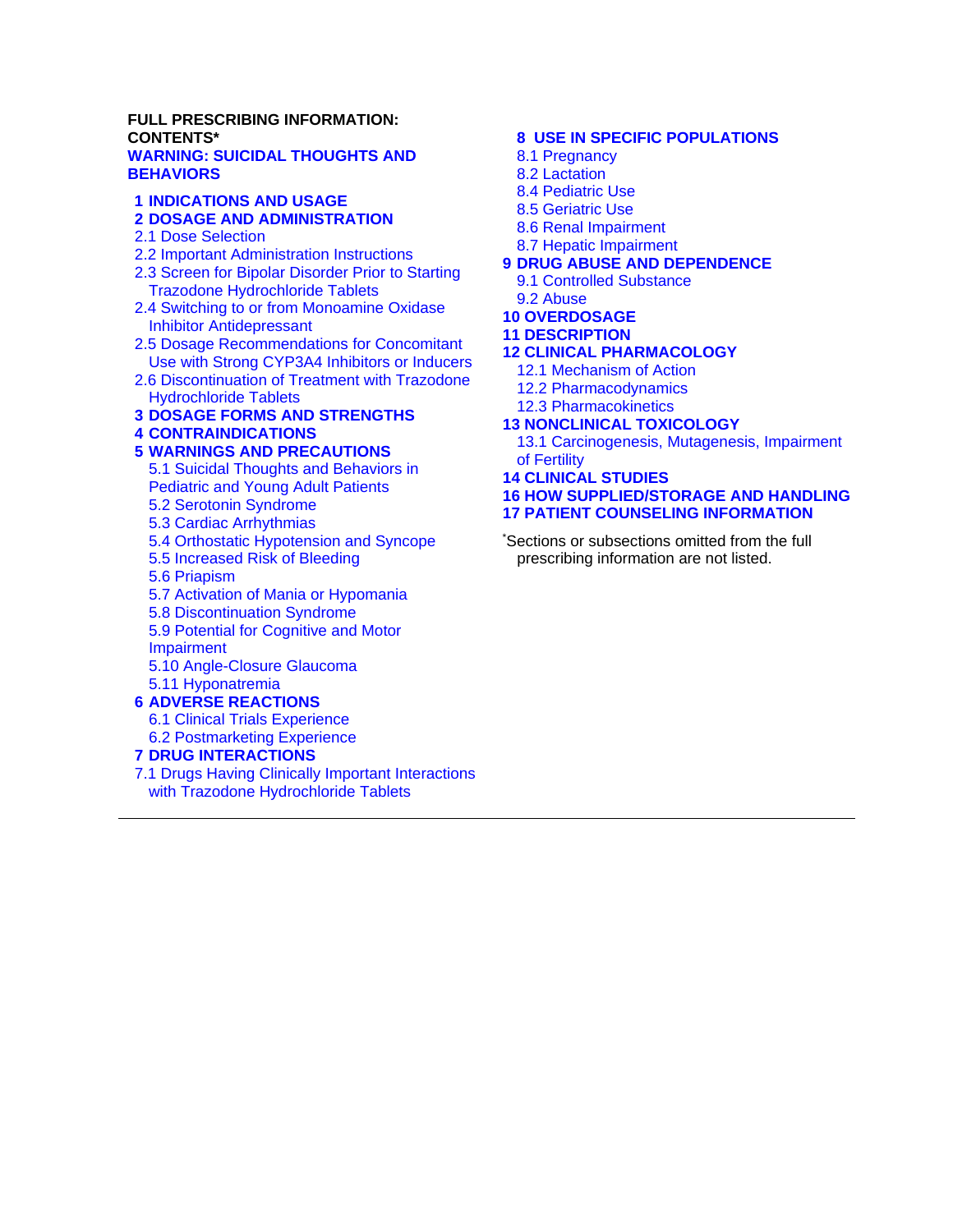#### **FULL PRESCRIBING INFORMATION: CONTENTS\* [WARNING: SUICIDAL THOUGHTS](#page-2-2) AND**

**[BEHAVIORS](#page-2-2)**

#### **1 [INDICATIONS AND USAGE](#page-2-0)**

#### **[2 DOSAGE AND ADMINISTRATION](#page-2-3)**

- [2.1 Dose Selection](#page-2-4)
- [2.2 Important Administration Instructions](#page-2-5)
- [2.3 Screen for Bipolar Disorder Prior to Starting](#page-2-6)  [Trazodone Hydrochloride Tablets](#page-2-6)
- [2.4 Switching to or from Monoamine Oxidase](#page-2-7)  [Inhibitor Antidepressant](#page-2-7)
- [2.5 Dosage Recommendations for Concomitant](#page-2-1)  [Use with Strong CYP3A4 Inhibitors or Inducers](#page-2-1)
- [2.6 Discontinuation of Treatment with Trazodone](#page-3-3)  [Hydrochloride Tablets](#page-3-3)
- **[3 DOSAGE FORMS AND STRENGTHS](#page-3-1)**
- **[4 CONTRAINDICATIONS](#page-3-2)**

#### **[5 WARNINGS AND PRECAUTIONS](#page-3-4)**

- [5.1 Suicidal Thoughts and Behaviors in](#page-3-0)  [Pediatric and Young Adult](#page-3-0) Patients
- [5.2 Serotonin Syndrome](#page-4-0)
- [5.3 Cardiac Arrhythmias](#page-5-0)
- [5.4 Orthostatic Hypotension and Syncope](#page-5-1)
- 5.5 [Increased Risk of](#page-5-2) Bleeding
- 5.6 [Priapism](#page-5-3)
- 5.7 [Activation of Mania or Hypomania](#page-6-0)
- [5.8 Discontinuation Syndrome](#page-6-4)
- 5.9 [Potential for Cognitive and Motor](#page-6-1)  [Impairment](#page-6-1)
- 5.10 [Angle-Closure Glaucoma](#page-6-2)
- 5.11 [Hyponatremia](#page-6-5)

#### **[6 ADVERSE REACTIONS](#page-6-3)**

- [6.1 Clinical Trials](#page-7-0) Experience
- [6.2 Postmarketing Experience](#page-8-1)

#### **[7 DRUG INTERACTIONS](#page-8-0)**

[7.1 Drugs Having Clinically Important Interactions](#page-8-2)  with Trazodone [Hydrochloride Tablets](#page-8-2)

#### **[8 USE IN SPECIFIC POPULATIONS](#page-10-0)**

- [8.1 Pregnancy](#page-10-1)
- [8.2 Lactation](#page-11-1)
- [8.4 Pediatric Use](#page-11-0)
- [8.5 Geriatric Use](#page-11-2)
- [8.6 Renal Impairment](#page-11-3)
- [8.7 Hepatic Impairment](#page-11-4)

#### **[9 DRUG ABUSE AND DEPENDENCE](#page-11-5)**

- [9.1 Controlled Substance](#page-11-6)
- [9.2 Abuse](#page-11-7)
- **10 [OVERDOSAGE](#page-12-0)**
- **[11 DESCRIPTION](#page-12-1)**
- **[12 CLINICAL PHARMACOLOGY](#page-12-2)**
	- [12.1 Mechanism of Action](#page-12-3)
	- [12.2 Pharmacodynamics](#page-12-4)
	- [12.3 Pharmacokinetics](#page-13-0)
- **[13 NONCLINICAL TOXICOLOGY](#page-13-1)**

[13.1 Carcinogenesis, Mutagenesis, Impairment](#page-13-2)  [of Fertility](#page-13-2)

**[14 CLINICAL STUDIES](#page-13-3)**

#### **[16 HOW SUPPLIED/STORAGE AND HANDLING](#page-14-0) [17 PATIENT COUNSELING INFORMATION](#page-15-0)**

\*Sections or subsections omitted from the full prescribing information are not listed.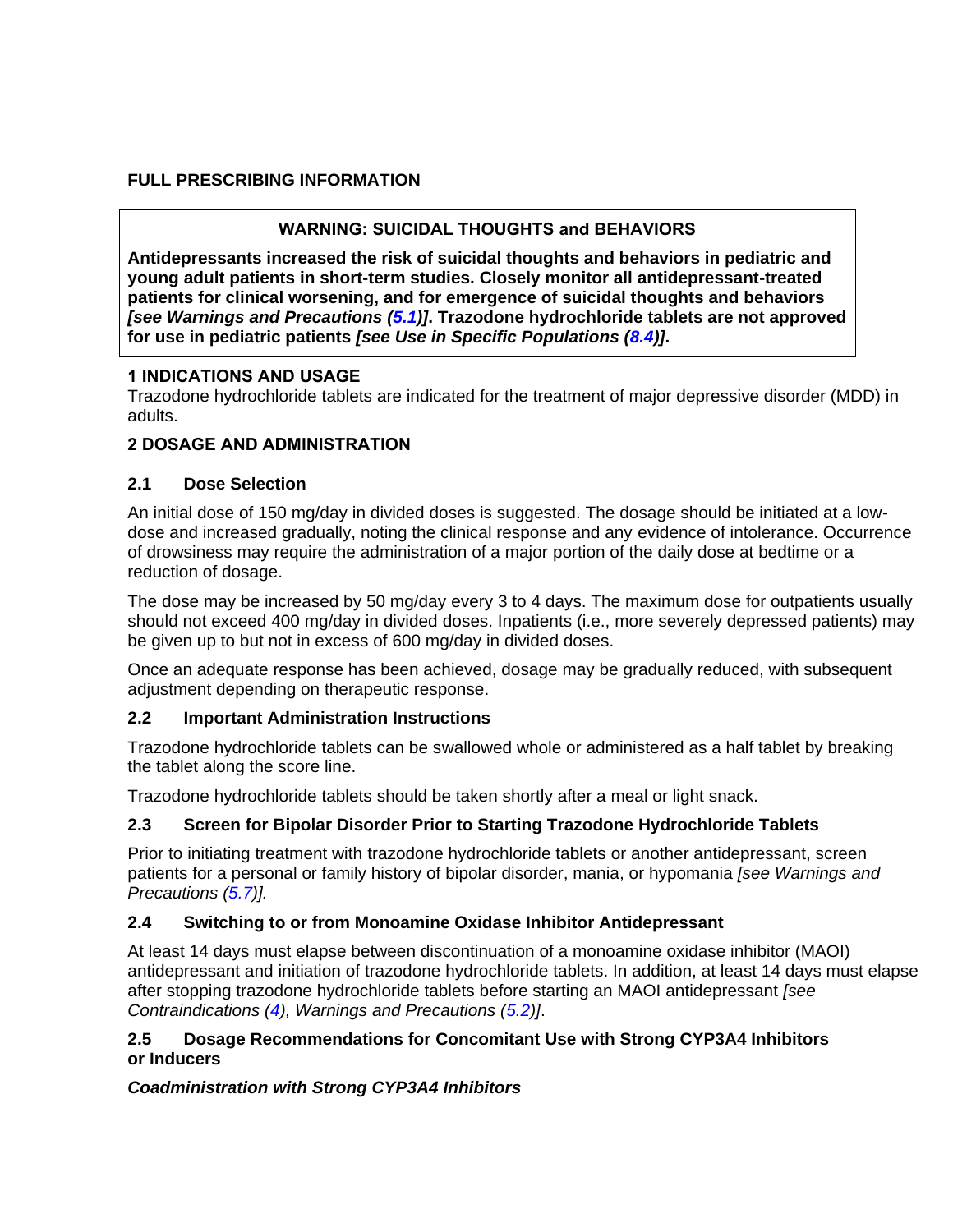## **FULL PRESCRIBING INFORMATION**

# **WARNING: SUICIDAL THOUGHTS and BEHAVIORS**

<span id="page-2-2"></span>**Antidepressants increased the risk of suicidal thoughts and behaviors in pediatric and young adult patients in short-term studies. Closely monitor all antidepressant-treated patients for clinical worsening, and for emergence of suicidal thoughts and behaviors**  *[see Warnings and Precautions [\(5.1\)](#page-3-0)]***. Trazodone hydrochloride tablets are not approved for use in pediatric patients** *[see Use in Specific Populations [\(8.4\)](#page-11-0)]***.**

## <span id="page-2-0"></span>**1 INDICATIONS AND USAGE**

Trazodone hydrochloride tablets are indicated for the treatment of major depressive disorder (MDD) in adults.

## <span id="page-2-3"></span>**2 DOSAGE AND ADMINISTRATION**

## <span id="page-2-4"></span>**2.1 Dose Selection**

An initial dose of 150 mg/day in divided doses is suggested. The dosage should be initiated at a lowdose and increased gradually, noting the clinical response and any evidence of intolerance. Occurrence of drowsiness may require the administration of a major portion of the daily dose at bedtime or a reduction of dosage.

The dose may be increased by 50 mg/day every 3 to 4 days. The maximum dose for outpatients usually should not exceed 400 mg/day in divided doses. Inpatients (i.e., more severely depressed patients) may be given up to but not in excess of 600 mg/day in divided doses.

Once an adequate response has been achieved, dosage may be gradually reduced, with subsequent adjustment depending on therapeutic response.

## <span id="page-2-5"></span>**2.2 Important Administration Instructions**

Trazodone hydrochloride tablets can be swallowed whole or administered as a half tablet by breaking the tablet along the score line.

Trazodone hydrochloride tablets should be taken shortly after a meal or light snack.

# <span id="page-2-6"></span>**2.3 Screen for Bipolar Disorder Prior to Starting Trazodone Hydrochloride Tablets**

Prior to initiating treatment with trazodone hydrochloride tablets or another antidepressant, screen patients for a personal or family history of bipolar disorder, mania, or hypomania *[see Warnings and Precautions [\(5.7\)](#page-6-0)].*

## <span id="page-2-7"></span>**2.4 Switching to or from Monoamine Oxidase Inhibitor Antidepressant**

At least 14 days must elapse between discontinuation of a monoamine oxidase inhibitor (MAOI) antidepressant and initiation of trazodone hydrochloride tablets. In addition, at least 14 days must elapse after stopping trazodone hydrochloride tablets before starting an MAOI antidepressant *[see Contraindications [\(4\)](#page-3-2), Warnings and Precautions [\(5.2\)](#page-4-0)]*.

## <span id="page-2-1"></span>**2.5 Dosage Recommendations for Concomitant Use with Strong CYP3A4 Inhibitors or Inducers**

## *Coadministration with Strong CYP3A4 Inhibitors*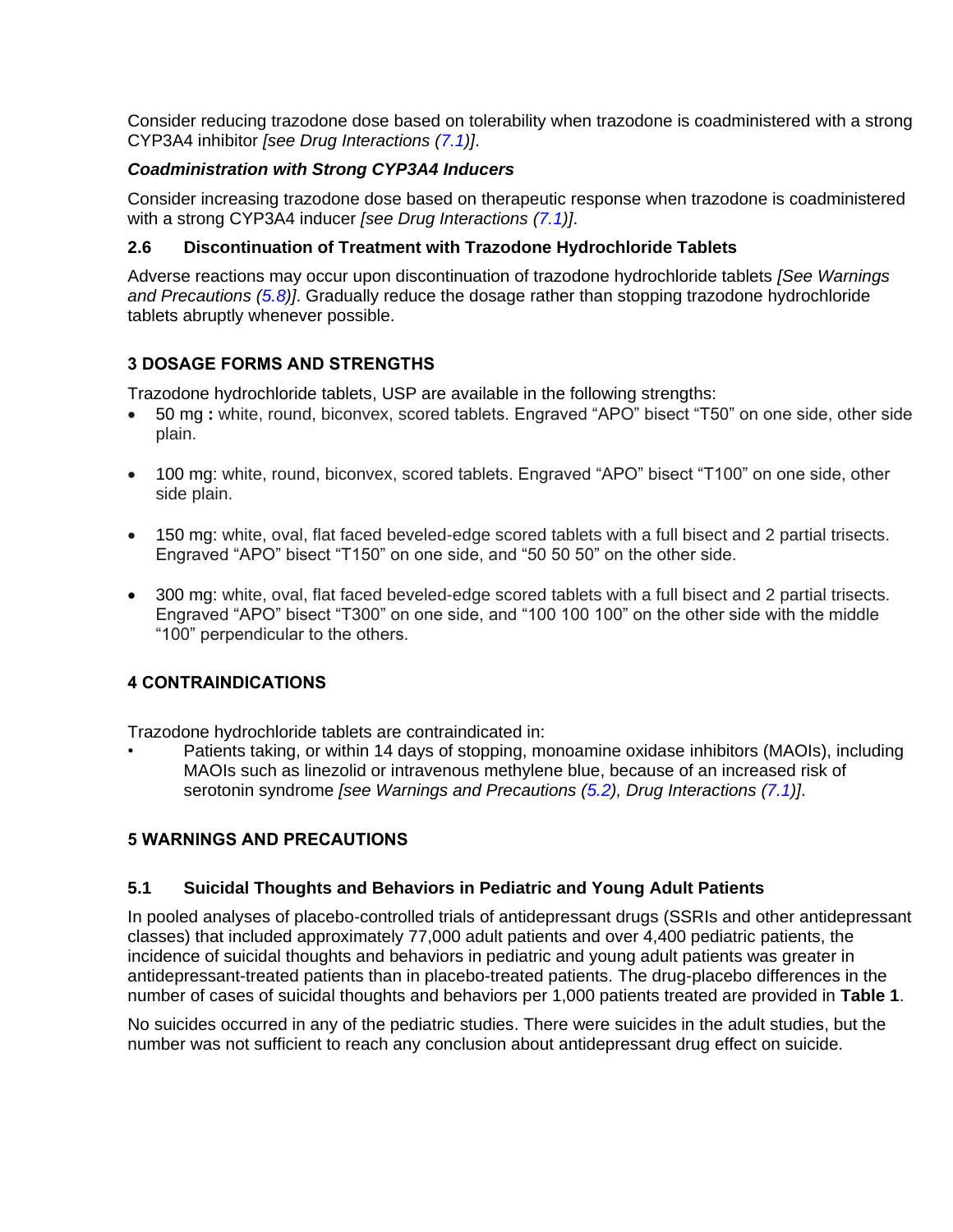Consider reducing trazodone dose based on tolerability when trazodone is coadministered with a strong CYP3A4 inhibitor *[see Drug Interactions [\(7.1\)](#page-8-2)]*.

# *Coadministration with Strong CYP3A4 Inducers*

Consider increasing trazodone dose based on therapeutic response when trazodone is coadministered with a strong CYP3A4 inducer *[see Drug Interactions [\(7.1\)](#page-8-2)]*.

# <span id="page-3-3"></span>**2.6 Discontinuation of Treatment with Trazodone Hydrochloride Tablets**

Adverse reactions may occur upon discontinuation of trazodone hydrochloride tablets *[See Warnings and Precautions [\(5.8\)](#page-6-4)]*. Gradually reduce the dosage rather than stopping trazodone hydrochloride tablets abruptly whenever possible.

# <span id="page-3-1"></span>**3 DOSAGE FORMS AND STRENGTHS**

Trazodone hydrochloride tablets, USP are available in the following strengths:

- 50 mg **:** white, round, biconvex, scored tablets. Engraved "APO" bisect "T50" on one side, other side plain.
- 100 mg: white, round, biconvex, scored tablets. Engraved "APO" bisect "T100" on one side, other side plain.
- 150 mg: white, oval, flat faced beveled-edge scored tablets with a full bisect and 2 partial trisects. Engraved "APO" bisect "T150" on one side, and "50 50 50" on the other side.
- 300 mg: white, oval, flat faced beveled-edge scored tablets with a full bisect and 2 partial trisects. Engraved "APO" bisect "T300" on one side, and "100 100 100" on the other side with the middle "100" perpendicular to the others.

# <span id="page-3-2"></span>**4 CONTRAINDICATIONS**

Trazodone hydrochloride tablets are contraindicated in:

• Patients taking, or within 14 days of stopping, monoamine oxidase inhibitors (MAOIs), including MAOIs such as linezolid or intravenous methylene blue, because of an increased risk of serotonin syndrome *[see Warnings and Precautions [\(5.2\)](#page-4-0), Drug Interactions [\(7.1\)](#page-8-2)]*.

# <span id="page-3-4"></span>**5 WARNINGS AND PRECAUTIONS**

# <span id="page-3-0"></span>**5.1 Suicidal Thoughts and Behaviors in Pediatric and Young Adult Patients**

In pooled analyses of placebo-controlled trials of antidepressant drugs (SSRIs and other antidepressant classes) that included approximately 77,000 adult patients and over 4,400 pediatric patients, the incidence of suicidal thoughts and behaviors in pediatric and young adult patients was greater in antidepressant-treated patients than in placebo-treated patients. The drug-placebo differences in the number of cases of suicidal thoughts and behaviors per 1,000 patients treated are provided in **Table 1**.

No suicides occurred in any of the pediatric studies. There were suicides in the adult studies, but the number was not sufficient to reach any conclusion about antidepressant drug effect on suicide.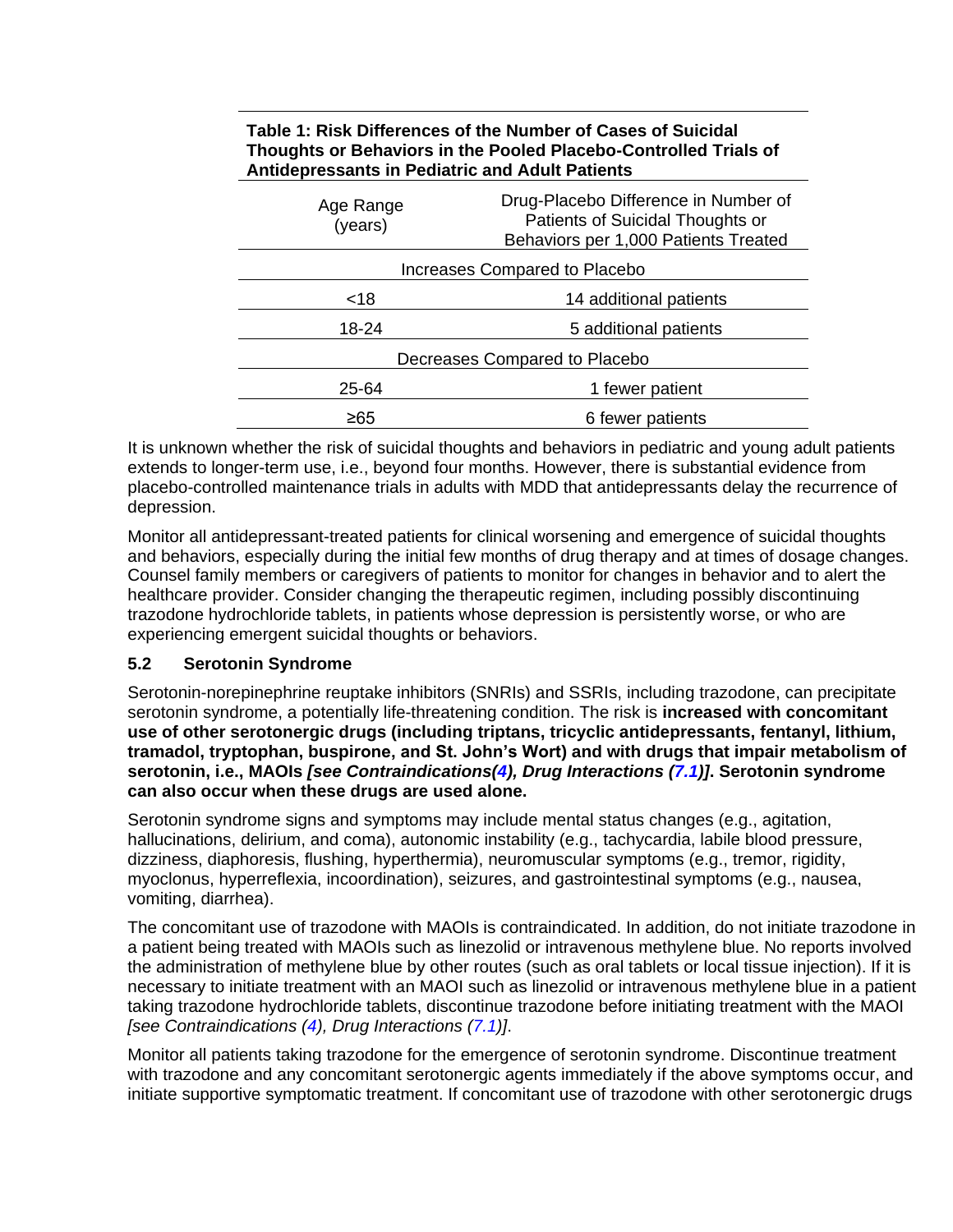#### **Table 1: Risk Differences of the Number of Cases of Suicidal Thoughts or Behaviors in the Pooled Placebo-Controlled Trials of Antidepressants in Pediatric and Adult Patients**

| Age Range<br>(years)          | Drug-Placebo Difference in Number of<br>Patients of Suicidal Thoughts or<br>Behaviors per 1,000 Patients Treated |  |
|-------------------------------|------------------------------------------------------------------------------------------------------------------|--|
| Increases Compared to Placebo |                                                                                                                  |  |
| <18                           | 14 additional patients                                                                                           |  |
| 18-24                         | 5 additional patients                                                                                            |  |
|                               | Decreases Compared to Placebo                                                                                    |  |
| 25-64                         | 1 fewer patient                                                                                                  |  |
| ≥65                           | 6 fewer patients                                                                                                 |  |

It is unknown whether the risk of suicidal thoughts and behaviors in pediatric and young adult patients extends to longer-term use, i.e., beyond four months. However, there is substantial evidence from placebo-controlled maintenance trials in adults with MDD that antidepressants delay the recurrence of depression.

Monitor all antidepressant-treated patients for clinical worsening and emergence of suicidal thoughts and behaviors, especially during the initial few months of drug therapy and at times of dosage changes. Counsel family members or caregivers of patients to monitor for changes in behavior and to alert the healthcare provider. Consider changing the therapeutic regimen, including possibly discontinuing trazodone hydrochloride tablets, in patients whose depression is persistently worse, or who are experiencing emergent suicidal thoughts or behaviors.

# <span id="page-4-0"></span>**5.2 Serotonin Syndrome**

Serotonin-norepinephrine reuptake inhibitors (SNRIs) and SSRIs, including trazodone, can precipitate serotonin syndrome, a potentially life-threatening condition. The risk is **increased with concomitant use of other serotonergic drugs (including triptans, tricyclic antidepressants, fentanyl, lithium, tramadol, tryptophan, buspirone, and St. John's Wort) and with drugs that impair metabolism of serotonin, i.e., MAOIs** *[see Contraindications[\(4\)](#page-3-2), Drug Interactions [\(7.1\)](#page-8-2)]***. Serotonin syndrome can also occur when these drugs are used alone.**

Serotonin syndrome signs and symptoms may include mental status changes (e.g., agitation, hallucinations, delirium, and coma), autonomic instability (e.g., tachycardia, labile blood pressure, dizziness, diaphoresis, flushing, hyperthermia), neuromuscular symptoms (e.g., tremor, rigidity, myoclonus, hyperreflexia, incoordination), seizures, and gastrointestinal symptoms (e.g., nausea, vomiting, diarrhea).

The concomitant use of trazodone with MAOIs is contraindicated. In addition, do not initiate trazodone in a patient being treated with MAOIs such as linezolid or intravenous methylene blue. No reports involved the administration of methylene blue by other routes (such as oral tablets or local tissue injection). If it is necessary to initiate treatment with an MAOI such as linezolid or intravenous methylene blue in a patient taking trazodone hydrochloride tablets, discontinue trazodone before initiating treatment with the MAOI *[see Contraindications [\(4\)](#page-3-2), Drug Interactions [\(7.1\)](#page-8-2)]*.

Monitor all patients taking trazodone for the emergence of serotonin syndrome. Discontinue treatment with trazodone and any concomitant serotonergic agents immediately if the above symptoms occur, and initiate supportive symptomatic treatment. If concomitant use of trazodone with other serotonergic drugs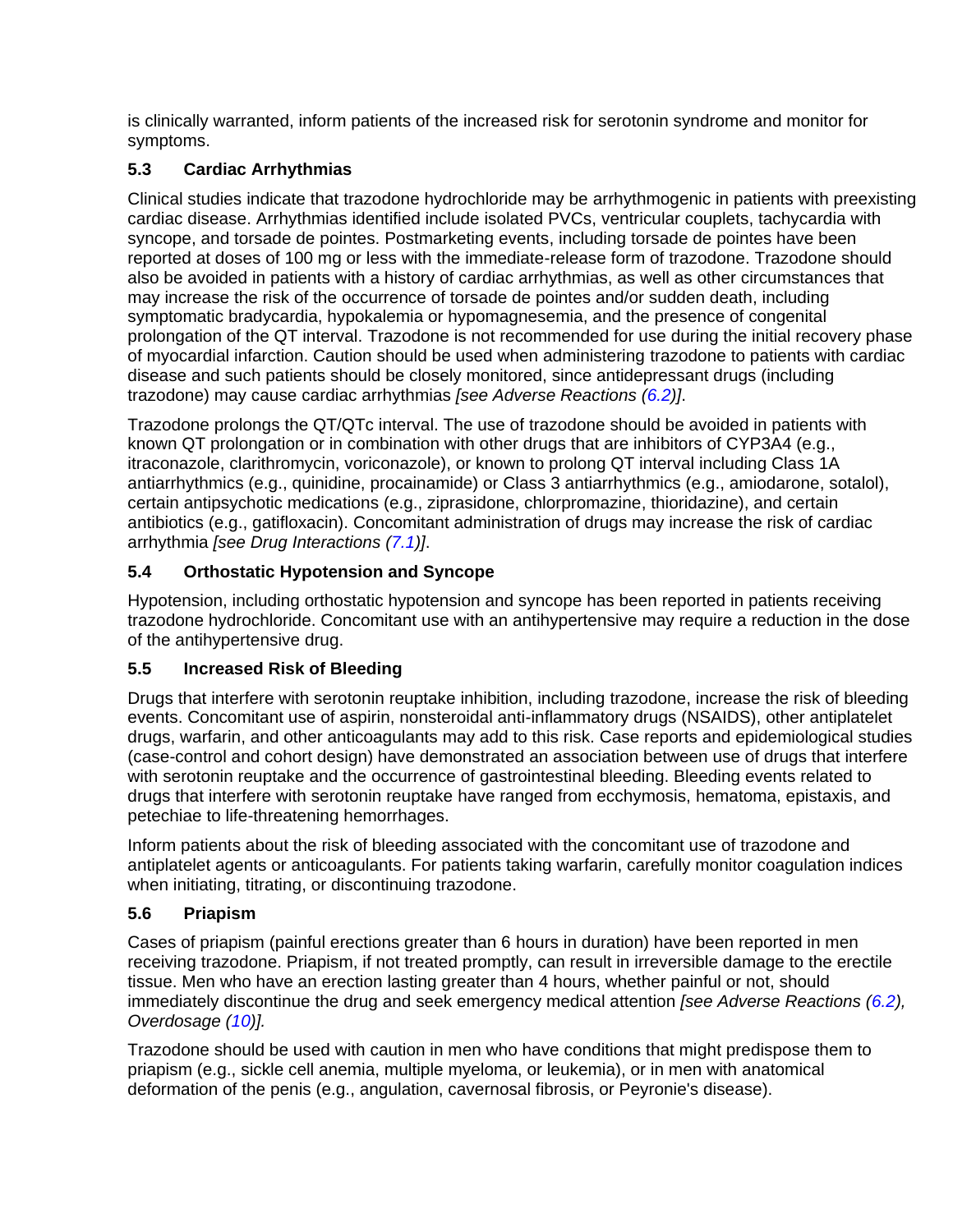is clinically warranted, inform patients of the increased risk for serotonin syndrome and monitor for symptoms.

# <span id="page-5-0"></span>**5.3 Cardiac Arrhythmias**

Clinical studies indicate that trazodone hydrochloride may be arrhythmogenic in patients with preexisting cardiac disease. Arrhythmias identified include isolated PVCs, ventricular couplets, tachycardia with syncope, and torsade de pointes. Postmarketing events, including torsade de pointes have been reported at doses of 100 mg or less with the immediate-release form of trazodone. Trazodone should also be avoided in patients with a history of cardiac arrhythmias, as well as other circumstances that may increase the risk of the occurrence of torsade de pointes and/or sudden death, including symptomatic bradycardia, hypokalemia or hypomagnesemia, and the presence of congenital prolongation of the QT interval. Trazodone is not recommended for use during the initial recovery phase of myocardial infarction. Caution should be used when administering trazodone to patients with cardiac disease and such patients should be closely monitored, since antidepressant drugs (including trazodone) may cause cardiac arrhythmias *[see Adverse Reactions [\(6.2\)](#page-8-1)]*.

Trazodone prolongs the QT/QTc interval. The use of trazodone should be avoided in patients with known QT prolongation or in combination with other drugs that are inhibitors of CYP3A4 (e.g., itraconazole, clarithromycin, voriconazole), or known to prolong QT interval including Class 1A antiarrhythmics (e.g., quinidine, procainamide) or Class 3 antiarrhythmics (e.g., amiodarone, sotalol), certain antipsychotic medications (e.g., ziprasidone, chlorpromazine, thioridazine), and certain antibiotics (e.g., gatifloxacin). Concomitant administration of drugs may increase the risk of cardiac arrhythmia *[see Drug Interactions [\(7.1\)](#page-8-2)]*.

# <span id="page-5-1"></span>**5.4 Orthostatic Hypotension and Syncope**

Hypotension, including orthostatic hypotension and syncope has been reported in patients receiving trazodone hydrochloride. Concomitant use with an antihypertensive may require a reduction in the dose of the antihypertensive drug.

# <span id="page-5-2"></span>**5.5 Increased Risk of Bleeding**

Drugs that interfere with serotonin reuptake inhibition, including trazodone, increase the risk of bleeding events. Concomitant use of aspirin, nonsteroidal anti-inflammatory drugs (NSAIDS), other antiplatelet drugs, warfarin, and other anticoagulants may add to this risk. Case reports and epidemiological studies (case-control and cohort design) have demonstrated an association between use of drugs that interfere with serotonin reuptake and the occurrence of gastrointestinal bleeding. Bleeding events related to drugs that interfere with serotonin reuptake have ranged from ecchymosis, hematoma, epistaxis, and petechiae to life-threatening hemorrhages.

Inform patients about the risk of bleeding associated with the concomitant use of trazodone and antiplatelet agents or anticoagulants. For patients taking warfarin, carefully monitor coagulation indices when initiating, titrating, or discontinuing trazodone.

# <span id="page-5-3"></span>**5.6 Priapism**

Cases of priapism (painful erections greater than 6 hours in duration) have been reported in men receiving trazodone. Priapism, if not treated promptly, can result in irreversible damage to the erectile tissue. Men who have an erection lasting greater than 4 hours, whether painful or not, should immediately discontinue the drug and seek emergency medical attention *[see Adverse Reactions [\(6.2\)](#page-8-1), Overdosage [\(10\)](#page-12-0)].*

Trazodone should be used with caution in men who have conditions that might predispose them to priapism (e.g., sickle cell anemia, multiple myeloma, or leukemia), or in men with anatomical deformation of the penis (e.g., angulation, cavernosal fibrosis, or Peyronie's disease).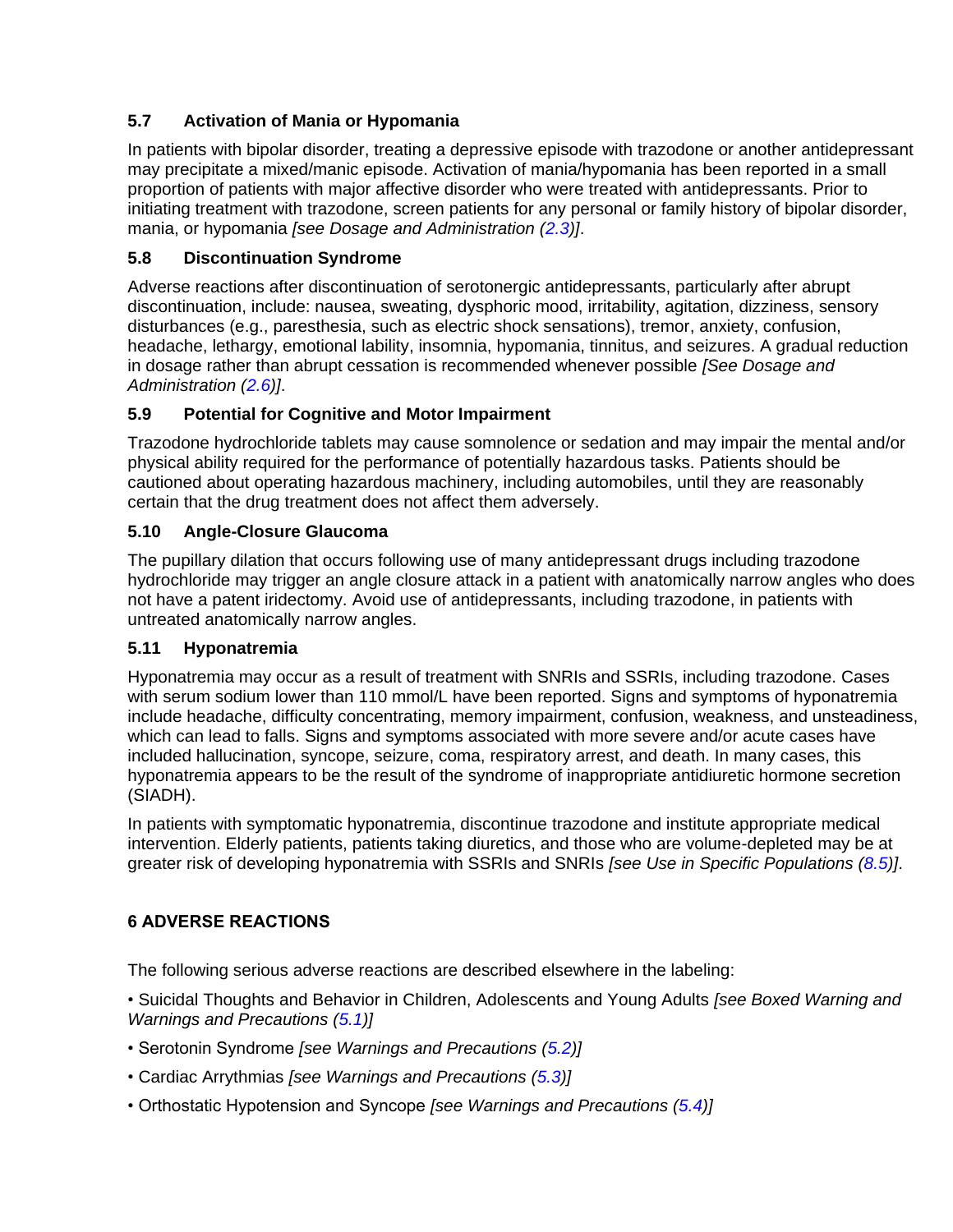# <span id="page-6-0"></span>**5.7 Activation of Mania or Hypomania**

In patients with bipolar disorder, treating a depressive episode with trazodone or another antidepressant may precipitate a mixed/manic episode. Activation of mania/hypomania has been reported in a small proportion of patients with major affective disorder who were treated with antidepressants. Prior to initiating treatment with trazodone, screen patients for any personal or family history of bipolar disorder, mania, or hypomania *[see Dosage and Administration [\(2.3\)](#page-2-6)]*.

# <span id="page-6-4"></span>**5.8 Discontinuation Syndrome**

Adverse reactions after discontinuation of serotonergic antidepressants, particularly after abrupt discontinuation, include: nausea, sweating, dysphoric mood, irritability, agitation, dizziness, sensory disturbances (e.g., paresthesia, such as electric shock sensations), tremor, anxiety, confusion, headache, lethargy, emotional lability, insomnia, hypomania, tinnitus, and seizures. A gradual reduction in dosage rather than abrupt cessation is recommended whenever possible *[See Dosage and Administration [\(2.6\)](#page-3-3)]*.

# <span id="page-6-1"></span>**5.9 Potential for Cognitive and Motor Impairment**

Trazodone hydrochloride tablets may cause somnolence or sedation and may impair the mental and/or physical ability required for the performance of potentially hazardous tasks. Patients should be cautioned about operating hazardous machinery, including automobiles, until they are reasonably certain that the drug treatment does not affect them adversely.

# <span id="page-6-2"></span>**5.10 Angle-Closure Glaucoma**

The pupillary dilation that occurs following use of many antidepressant drugs including trazodone hydrochloride may trigger an angle closure attack in a patient with anatomically narrow angles who does not have a patent iridectomy. Avoid use of antidepressants, including trazodone, in patients with untreated anatomically narrow angles.

## <span id="page-6-5"></span>**5.11 Hyponatremia**

Hyponatremia may occur as a result of treatment with SNRIs and SSRIs, including trazodone. Cases with serum sodium lower than 110 mmol/L have been reported. Signs and symptoms of hyponatremia include headache, difficulty concentrating, memory impairment, confusion, weakness, and unsteadiness, which can lead to falls. Signs and symptoms associated with more severe and/or acute cases have included hallucination, syncope, seizure, coma, respiratory arrest, and death. In many cases, this hyponatremia appears to be the result of the syndrome of inappropriate antidiuretic hormone secretion (SIADH).

In patients with symptomatic hyponatremia, discontinue trazodone and institute appropriate medical intervention. Elderly patients, patients taking diuretics, and those who are volume-depleted may be at greater risk of developing hyponatremia with SSRIs and SNRIs *[see Use in Specific Populations [\(8.5\)](#page-11-2)]*.

# <span id="page-6-3"></span>**6 ADVERSE REACTIONS**

The following serious adverse reactions are described elsewhere in the labeling:

• Suicidal Thoughts and Behavior in Children, Adolescents and Young Adults *[see Boxed Warning and Warnings and Precautions [\(5.1\)](#page-3-0)]*

- Serotonin Syndrome *[see Warnings and Precautions [\(5.2\)](#page-4-0)]*
- Cardiac Arrythmias *[see Warnings and Precautions [\(5.3\)](#page-5-0)]*
- Orthostatic Hypotension and Syncope *[see Warnings and Precautions [\(5.4\)](#page-5-1)]*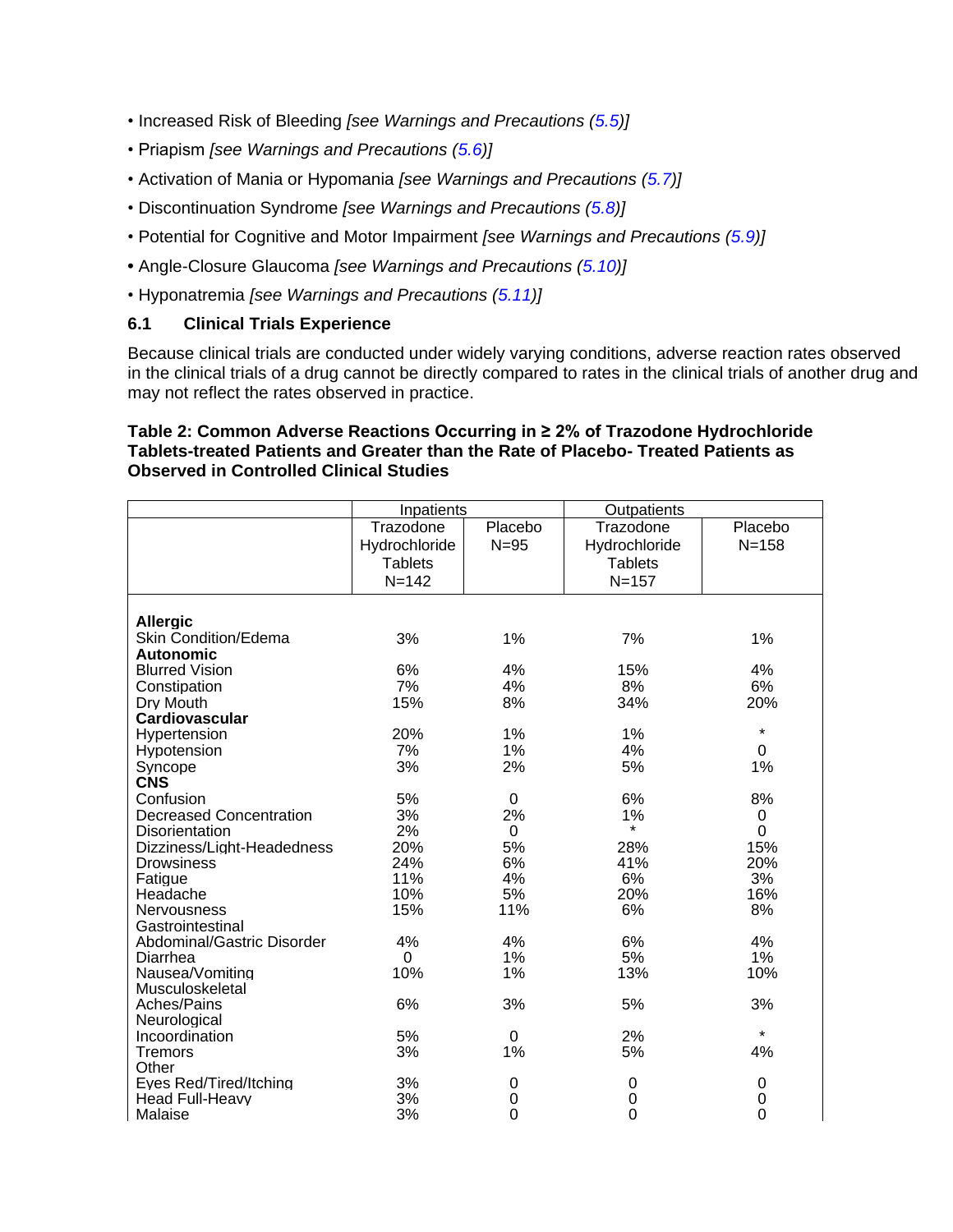- Increased Risk of Bleeding *[see Warnings and Precautions [\(5.5\)](#page-5-2)]*
- Priapism *[see Warnings and Precautions [\(5.6\)](#page-5-3)]*
- Activation of Mania or Hypomania *[see Warnings and Precautions [\(5.7\)](#page-6-0)]*
- Discontinuation Syndrome *[see Warnings and Precautions [\(5.8\)](#page-6-4)]*
- Potential for Cognitive and Motor Impairment *[see Warnings and Precautions [\(5.9\)](#page-6-1)]*
- **•** Angle-Closure Glaucoma *[see Warnings and Precautions [\(5.10\)](#page-6-2)]*
- Hyponatremia *[see Warnings and Precautions [\(5.11\)](#page-6-5)]*

## <span id="page-7-0"></span>**6.1 Clinical Trials Experience**

Because clinical trials are conducted under widely varying conditions, adverse reaction rates observed in the clinical trials of a drug cannot be directly compared to rates in the clinical trials of another drug and may not reflect the rates observed in practice.

## **Table 2: Common Adverse Reactions Occurring in ≥ 2% of Trazodone Hydrochloride Tablets-treated Patients and Greater than the Rate of Placebo- Treated Patients as Observed in Controlled Clinical Studies**

| Trazodone<br>Trazodone<br>Placebo<br>Placebo<br>Hydrochloride<br>$N = 95$<br>Hydrochloride<br>$N = 158$ |  |
|---------------------------------------------------------------------------------------------------------|--|
|                                                                                                         |  |
|                                                                                                         |  |
| <b>Tablets</b><br><b>Tablets</b>                                                                        |  |
| $N = 142$<br>$N = 157$                                                                                  |  |
|                                                                                                         |  |
|                                                                                                         |  |
| <b>Allergic</b>                                                                                         |  |
| <b>Skin Condition/Edema</b><br>3%<br>1%<br>7%<br>1%                                                     |  |
| <b>Autonomic</b>                                                                                        |  |
| 6%<br>15%<br>4%<br>4%<br><b>Blurred Vision</b>                                                          |  |
| 7%<br>6%<br>4%<br>8%<br>Constipation                                                                    |  |
| 15%<br>8%<br>34%<br>20%<br>Dry Mouth                                                                    |  |
| <b>Cardiovascular</b>                                                                                   |  |
| $\star$<br>20%<br>1%<br>1%<br>Hypertension                                                              |  |
| 7%<br>1%<br>4%<br>0<br>Hypotension                                                                      |  |
| 3%<br>2%<br>5%<br>1%<br>Syncope                                                                         |  |
| <b>CNS</b>                                                                                              |  |
| 5%<br>6%<br>8%<br>$\mathbf 0$<br>Confusion                                                              |  |
| 3%<br>2%<br>1%<br><b>Decreased Concentration</b><br>0                                                   |  |
| $\star$<br>2%<br>0<br>0<br>Disorientation                                                               |  |
| 20%<br>5%<br>15%<br>Dizziness/Light-Headedness<br>28%                                                   |  |
| 24%<br>6%<br>41%<br>20%<br><b>Drowsiness</b>                                                            |  |
| 11%<br>4%<br>6%<br>3%<br>Fatigue                                                                        |  |
| 10%<br>5%<br>20%<br>16%<br>Headache                                                                     |  |
| 15%<br>11%<br>6%<br>8%<br>Nervousness                                                                   |  |
| Gastrointestinal                                                                                        |  |
| Abdominal/Gastric Disorder<br>4%<br>4%<br>6%<br>4%                                                      |  |
| 1%<br>5%<br>1%<br>Diarrhea<br>$\Omega$                                                                  |  |
| 10%<br>13%<br>Nausea/Vomiting<br>1%<br>10%                                                              |  |
| Musculoskeletal                                                                                         |  |
| 6%<br>Aches/Pains<br>3%<br>5%<br>3%                                                                     |  |
| Neurological                                                                                            |  |
| $\star$<br>5%<br>2%<br>Incoordination<br>$\Omega$                                                       |  |
| 1%<br>3%<br>5%<br>4%<br><b>Tremors</b>                                                                  |  |
| Other                                                                                                   |  |
| 3%<br>Eyes Red/Tired/Itching<br>0<br>0<br>0                                                             |  |
| 3%<br>$\mathbf 0$<br>0<br>0<br><b>Head Full-Heavy</b>                                                   |  |
| $\overline{0}$<br>$\mathbf 0$<br>3%<br>$\overline{0}$<br>Malaise                                        |  |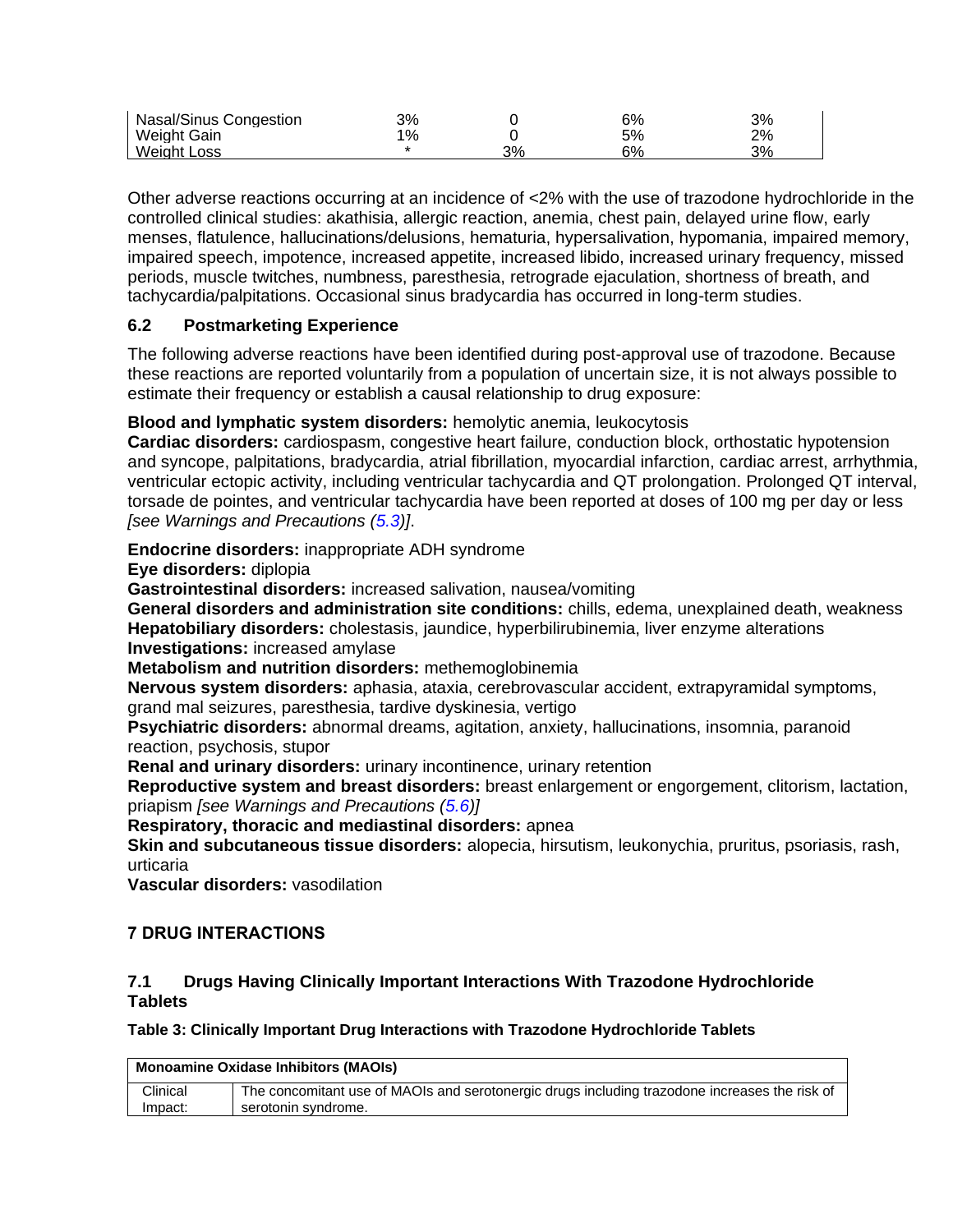| Nasal/Sinus Congestion | 3%    |    | 6% | 3% |
|------------------------|-------|----|----|----|
| Weight Gain            | $1\%$ |    | 5% | 2% |
| Weight Loss            | *     | 3% | 6% | 3% |

Other adverse reactions occurring at an incidence of <2% with the use of trazodone hydrochloride in the controlled clinical studies: akathisia, allergic reaction, anemia, chest pain, delayed urine flow, early menses, flatulence, hallucinations/delusions, hematuria, hypersalivation, hypomania, impaired memory, impaired speech, impotence, increased appetite, increased libido, increased urinary frequency, missed periods, muscle twitches, numbness, paresthesia, retrograde ejaculation, shortness of breath, and tachycardia/palpitations. Occasional sinus bradycardia has occurred in long-term studies.

# <span id="page-8-1"></span>**6.2 Postmarketing Experience**

The following adverse reactions have been identified during post-approval use of trazodone. Because these reactions are reported voluntarily from a population of uncertain size, it is not always possible to estimate their frequency or establish a causal relationship to drug exposure:

# **Blood and lymphatic system disorders:** hemolytic anemia, leukocytosis

**Cardiac disorders:** cardiospasm, congestive heart failure, conduction block, orthostatic hypotension and syncope, palpitations, bradycardia, atrial fibrillation, myocardial infarction, cardiac arrest, arrhythmia, ventricular ectopic activity, including ventricular tachycardia and QT prolongation. Prolonged QT interval, torsade de pointes, and ventricular tachycardia have been reported at doses of 100 mg per day or less *[see Warnings and Precautions [\(5.3\)](#page-5-0)]*.

**Endocrine disorders:** inappropriate ADH syndrome

**Eye disorders:** diplopia

**Gastrointestinal disorders:** increased salivation, nausea/vomiting

**General disorders and administration site conditions:** chills, edema, unexplained death, weakness **Hepatobiliary disorders:** cholestasis, jaundice, hyperbilirubinemia, liver enzyme alterations **Investigations:** increased amylase

**Metabolism and nutrition disorders:** methemoglobinemia

**Nervous system disorders:** aphasia, ataxia, cerebrovascular accident, extrapyramidal symptoms, grand mal seizures, paresthesia, tardive dyskinesia, vertigo

**Psychiatric disorders:** abnormal dreams, agitation, anxiety, hallucinations, insomnia, paranoid reaction, psychosis, stupor

**Renal and urinary disorders:** urinary incontinence, urinary retention

**Reproductive system and breast disorders:** breast enlargement or engorgement, clitorism, lactation, priapism *[see Warnings and Precautions [\(5.6\)](#page-5-3)]*

**Respiratory, thoracic and mediastinal disorders:** apnea

**Skin and subcutaneous tissue disorders:** alopecia, hirsutism, leukonychia, pruritus, psoriasis, rash, urticaria

**Vascular disorders:** vasodilation

# <span id="page-8-0"></span>**7 DRUG INTERACTIONS**

# <span id="page-8-2"></span>**7.1 Drugs Having Clinically Important Interactions With Trazodone Hydrochloride Tablets**

**Table 3: Clinically Important Drug Interactions with Trazodone Hydrochloride Tablets**

**Monoamine Oxidase Inhibitors (MAOIs)**

| Clinical | The concomitant use of MAOIs and serotonergic drugs including trazodone increases the risk of |
|----------|-----------------------------------------------------------------------------------------------|
| Impact:  | serotonin syndrome.                                                                           |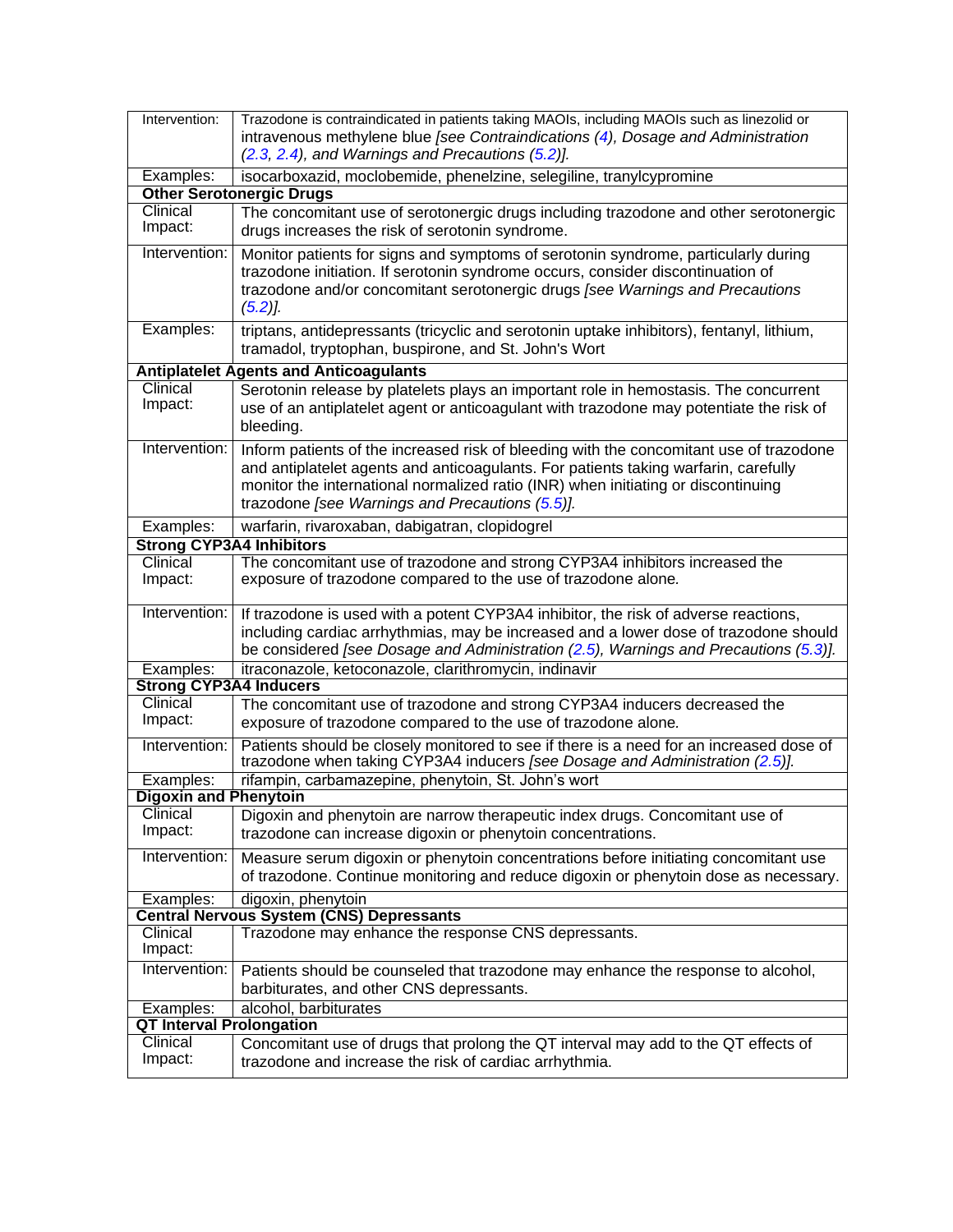| Intervention:                            | Trazodone is contraindicated in patients taking MAOIs, including MAOIs such as linezolid or<br>intravenous methylene blue [see Contraindications (4), Dosage and Administration                                                                                                                                        |
|------------------------------------------|------------------------------------------------------------------------------------------------------------------------------------------------------------------------------------------------------------------------------------------------------------------------------------------------------------------------|
|                                          | $(2.3, 2.4)$ , and Warnings and Precautions $(5.2)$ ].                                                                                                                                                                                                                                                                 |
| Examples:                                | isocarboxazid, moclobemide, phenelzine, selegiline, tranylcypromine                                                                                                                                                                                                                                                    |
|                                          | <b>Other Serotonergic Drugs</b>                                                                                                                                                                                                                                                                                        |
| Clinical<br>Impact:                      | The concomitant use of serotonergic drugs including trazodone and other serotonergic<br>drugs increases the risk of serotonin syndrome.                                                                                                                                                                                |
| Intervention:                            | Monitor patients for signs and symptoms of serotonin syndrome, particularly during<br>trazodone initiation. If serotonin syndrome occurs, consider discontinuation of<br>trazodone and/or concomitant serotonergic drugs [see Warnings and Precautions<br>$(5.2)$ .                                                    |
| Examples:                                | triptans, antidepressants (tricyclic and serotonin uptake inhibitors), fentanyl, lithium,<br>tramadol, tryptophan, buspirone, and St. John's Wort                                                                                                                                                                      |
|                                          | <b>Antiplatelet Agents and Anticoagulants</b>                                                                                                                                                                                                                                                                          |
| Clinical<br>Impact:                      | Serotonin release by platelets plays an important role in hemostasis. The concurrent<br>use of an antiplatelet agent or anticoagulant with trazodone may potentiate the risk of<br>bleeding.                                                                                                                           |
| Intervention:                            | Inform patients of the increased risk of bleeding with the concomitant use of trazodone<br>and antiplatelet agents and anticoagulants. For patients taking warfarin, carefully<br>monitor the international normalized ratio (INR) when initiating or discontinuing<br>trazodone [see Warnings and Precautions (5.5)]. |
| Examples:                                | warfarin, rivaroxaban, dabigatran, clopidogrel                                                                                                                                                                                                                                                                         |
| <b>Strong CYP3A4 Inhibitors</b>          |                                                                                                                                                                                                                                                                                                                        |
| Clinical<br>Impact:                      | The concomitant use of trazodone and strong CYP3A4 inhibitors increased the<br>exposure of trazodone compared to the use of trazodone alone.                                                                                                                                                                           |
| Intervention:                            | If trazodone is used with a potent CYP3A4 inhibitor, the risk of adverse reactions,<br>including cardiac arrhythmias, may be increased and a lower dose of trazodone should<br>be considered [see Dosage and Administration (2.5), Warnings and Precautions (5.3)].                                                    |
| Examples:                                | itraconazole, ketoconazole, clarithromycin, indinavir                                                                                                                                                                                                                                                                  |
| <b>Strong CYP3A4 Inducers</b>            |                                                                                                                                                                                                                                                                                                                        |
| Clinical<br>Impact:                      | The concomitant use of trazodone and strong CYP3A4 inducers decreased the<br>exposure of trazodone compared to the use of trazodone alone.                                                                                                                                                                             |
| Intervention:                            | Patients should be closely monitored to see if there is a need for an increased dose of<br>trazodone when taking CYP3A4 inducers [see Dosage and Administration (2.5)].                                                                                                                                                |
| Examples:                                | rifampin, carbamazepine, phenytoin, St. John's wort                                                                                                                                                                                                                                                                    |
| <b>Digoxin and Phenytoin</b><br>Clinical |                                                                                                                                                                                                                                                                                                                        |
| Impact:                                  | Digoxin and phenytoin are narrow therapeutic index drugs. Concomitant use of<br>trazodone can increase digoxin or phenytoin concentrations.                                                                                                                                                                            |
| Intervention:                            | Measure serum digoxin or phenytoin concentrations before initiating concomitant use<br>of trazodone. Continue monitoring and reduce digoxin or phenytoin dose as necessary.                                                                                                                                            |
| Examples:                                | digoxin, phenytoin                                                                                                                                                                                                                                                                                                     |
|                                          | <b>Central Nervous System (CNS) Depressants</b>                                                                                                                                                                                                                                                                        |
| Clinical<br>Impact:                      | Trazodone may enhance the response CNS depressants.                                                                                                                                                                                                                                                                    |
| Intervention:                            | Patients should be counseled that trazodone may enhance the response to alcohol,<br>barbiturates, and other CNS depressants.                                                                                                                                                                                           |
| Examples:                                | alcohol, barbiturates                                                                                                                                                                                                                                                                                                  |
| <b>QT Interval Prolongation</b>          |                                                                                                                                                                                                                                                                                                                        |
| Clinical<br>Impact:                      | Concomitant use of drugs that prolong the QT interval may add to the QT effects of<br>trazodone and increase the risk of cardiac arrhythmia.                                                                                                                                                                           |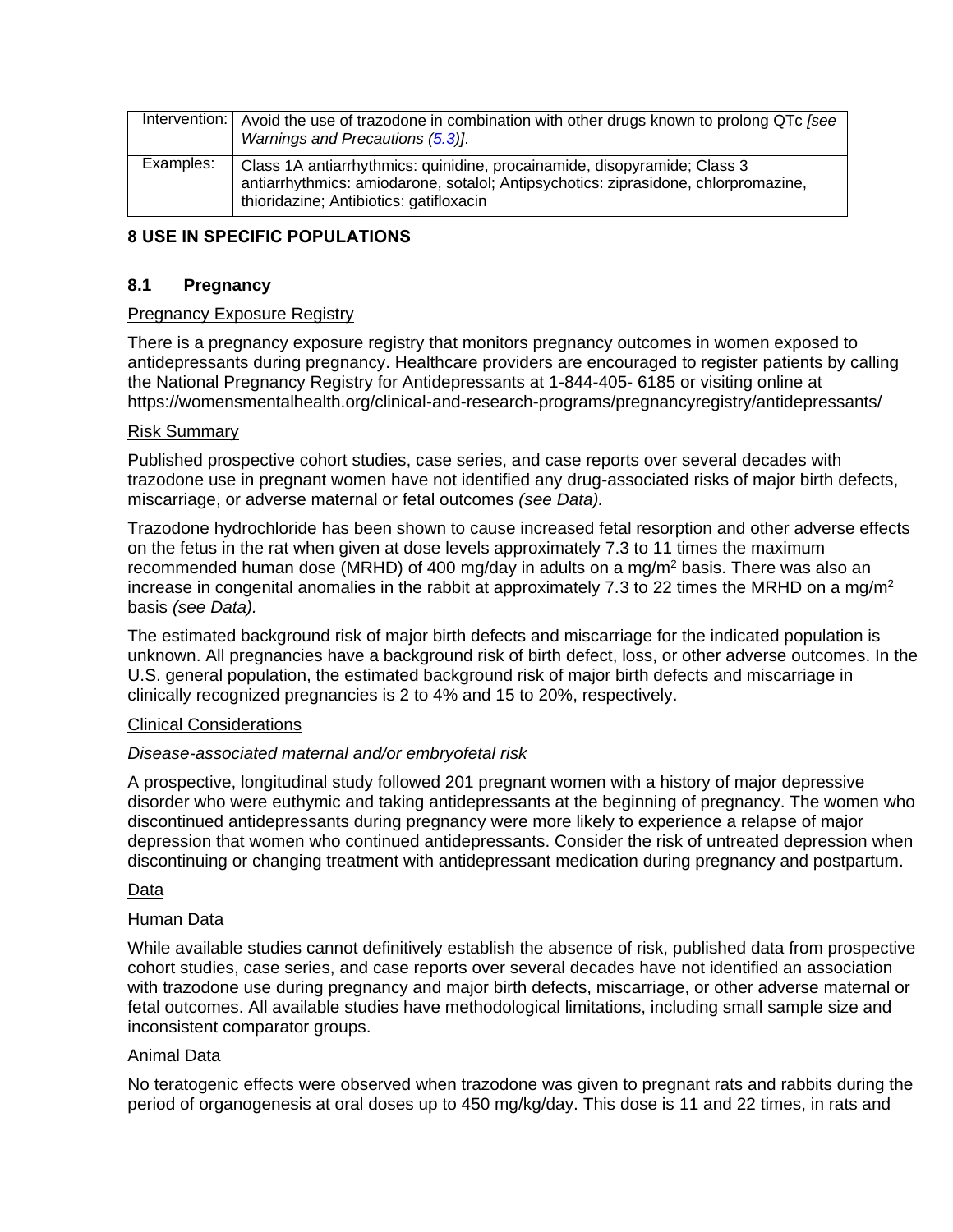|           | Intervention: Avoid the use of trazodone in combination with other drugs known to prolong QTc [see<br>Warnings and Precautions (5.3)].                                                                    |
|-----------|-----------------------------------------------------------------------------------------------------------------------------------------------------------------------------------------------------------|
| Examples: | Class 1A antiarrhythmics: quinidine, procainamide, disopyramide; Class 3<br>antiarrhythmics: amiodarone, sotalol; Antipsychotics: ziprasidone, chlorpromazine,<br>thioridazine; Antibiotics: gatifloxacin |

# <span id="page-10-0"></span>**8 USE IN SPECIFIC POPULATIONS**

#### <span id="page-10-1"></span>**8.1 Pregnancy**

#### Pregnancy Exposure Registry

There is a pregnancy exposure registry that monitors pregnancy outcomes in women exposed to antidepressants during pregnancy. Healthcare providers are encouraged to register patients by calling the National Pregnancy Registry for Antidepressants at 1-844-405- 6185 or visiting online at https://womensmentalhealth.org/clinical-and-research-programs/pregnancyregistry/antidepressants/

#### Risk Summary

Published prospective cohort studies, case series, and case reports over several decades with trazodone use in pregnant women have not identified any drug-associated risks of major birth defects, miscarriage, or adverse maternal or fetal outcomes *(see Data).*

Trazodone hydrochloride has been shown to cause increased fetal resorption and other adverse effects on the fetus in the rat when given at dose levels approximately 7.3 to 11 times the maximum recommended human dose (MRHD) of 400 mg/day in adults on a mg/m<sup>2</sup> basis. There was also an increase in congenital anomalies in the rabbit at approximately 7.3 to 22 times the MRHD on a mg/m<sup>2</sup> basis *(see Data).*

The estimated background risk of major birth defects and miscarriage for the indicated population is unknown. All pregnancies have a background risk of birth defect, loss, or other adverse outcomes. In the U.S. general population, the estimated background risk of major birth defects and miscarriage in clinically recognized pregnancies is 2 to 4% and 15 to 20%, respectively.

#### Clinical Considerations

## *Disease-associated maternal and/or embryofetal risk*

A prospective, longitudinal study followed 201 pregnant women with a history of major depressive disorder who were euthymic and taking antidepressants at the beginning of pregnancy. The women who discontinued antidepressants during pregnancy were more likely to experience a relapse of major depression that women who continued antidepressants. Consider the risk of untreated depression when discontinuing or changing treatment with antidepressant medication during pregnancy and postpartum.

## Data

## Human Data

While available studies cannot definitively establish the absence of risk, published data from prospective cohort studies, case series, and case reports over several decades have not identified an association with trazodone use during pregnancy and major birth defects, miscarriage, or other adverse maternal or fetal outcomes. All available studies have methodological limitations, including small sample size and inconsistent comparator groups.

#### Animal Data

No teratogenic effects were observed when trazodone was given to pregnant rats and rabbits during the period of organogenesis at oral doses up to 450 mg/kg/day. This dose is 11 and 22 times, in rats and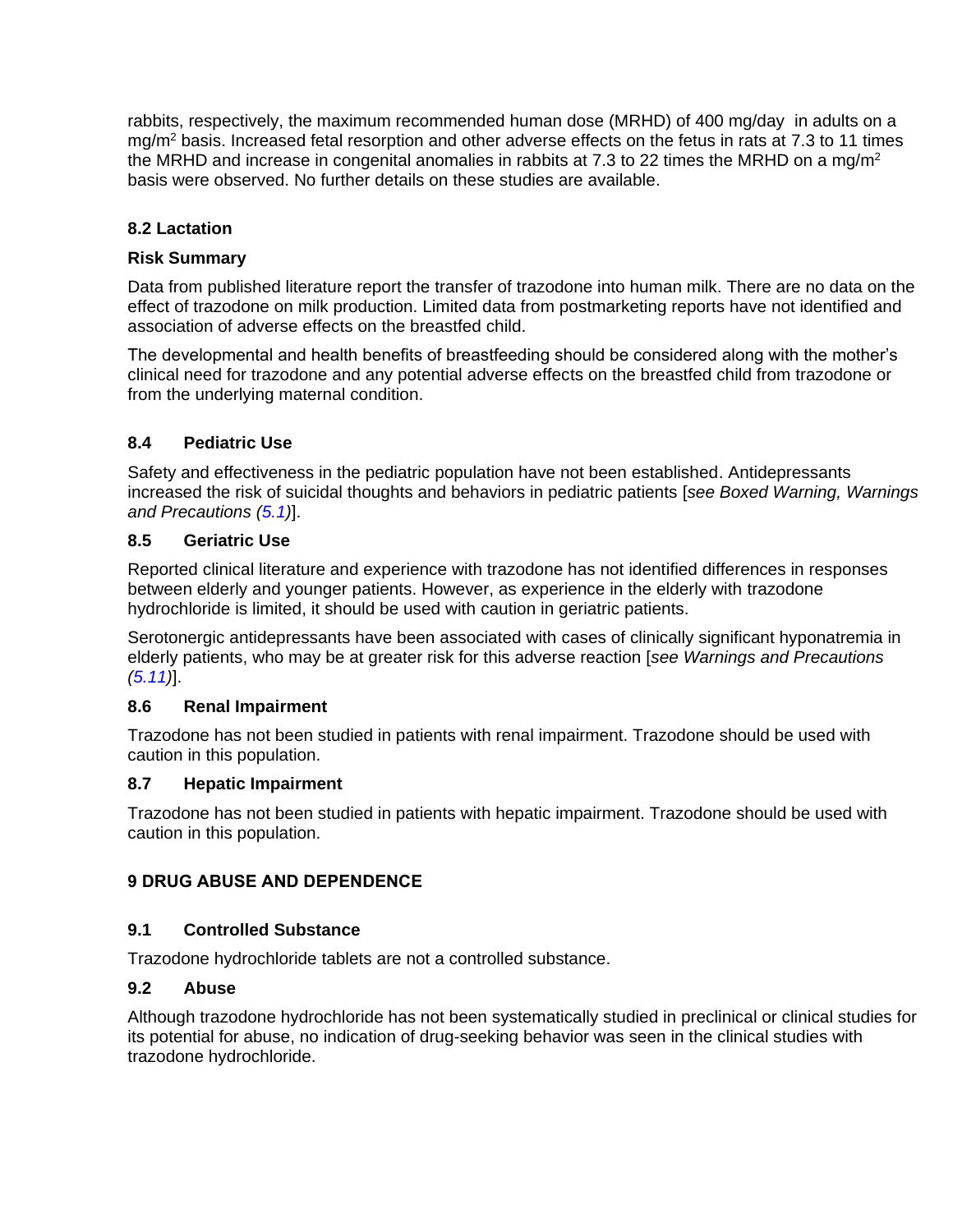rabbits, respectively, the maximum recommended human dose (MRHD) of 400 mg/day in adults on a  $mg/m<sup>2</sup>$  basis. Increased fetal resorption and other adverse effects on the fetus in rats at 7.3 to 11 times the MRHD and increase in congenital anomalies in rabbits at 7.3 to 22 times the MRHD on a mg/m<sup>2</sup> basis were observed. No further details on these studies are available.

# <span id="page-11-1"></span>**8.2 Lactation**

## **Risk Summary**

Data from published literature report the transfer of trazodone into human milk. There are no data on the effect of trazodone on milk production. Limited data from postmarketing reports have not identified and association of adverse effects on the breastfed child.

The developmental and health benefits of breastfeeding should be considered along with the mother's clinical need for trazodone and any potential adverse effects on the breastfed child from trazodone or from the underlying maternal condition.

# <span id="page-11-0"></span>**8.4 Pediatric Use**

Safety and effectiveness in the pediatric population have not been established. Antidepressants increased the risk of suicidal thoughts and behaviors in pediatric patients [*see Boxed Warning, Warnings and Precautions [\(5.1\)](#page-3-0)*].

## <span id="page-11-2"></span>**8.5 Geriatric Use**

Reported clinical literature and experience with trazodone has not identified differences in responses between elderly and younger patients. However, as experience in the elderly with trazodone hydrochloride is limited, it should be used with caution in geriatric patients.

Serotonergic antidepressants have been associated with cases of clinically significant hyponatremia in elderly patients, who may be at greater risk for this adverse reaction [*see Warnings and Precautions [\(5.11\)](#page-6-5)*].

## <span id="page-11-3"></span>**8.6 Renal Impairment**

Trazodone has not been studied in patients with renal impairment. Trazodone should be used with caution in this population.

## <span id="page-11-4"></span>**8.7 Hepatic Impairment**

Trazodone has not been studied in patients with hepatic impairment. Trazodone should be used with caution in this population.

## <span id="page-11-5"></span>**9 DRUG ABUSE AND DEPENDENCE**

## <span id="page-11-6"></span>**9.1 Controlled Substance**

Trazodone hydrochloride tablets are not a controlled substance.

## <span id="page-11-7"></span>**9.2 Abuse**

Although trazodone hydrochloride has not been systematically studied in preclinical or clinical studies for its potential for abuse, no indication of drug-seeking behavior was seen in the clinical studies with trazodone hydrochloride.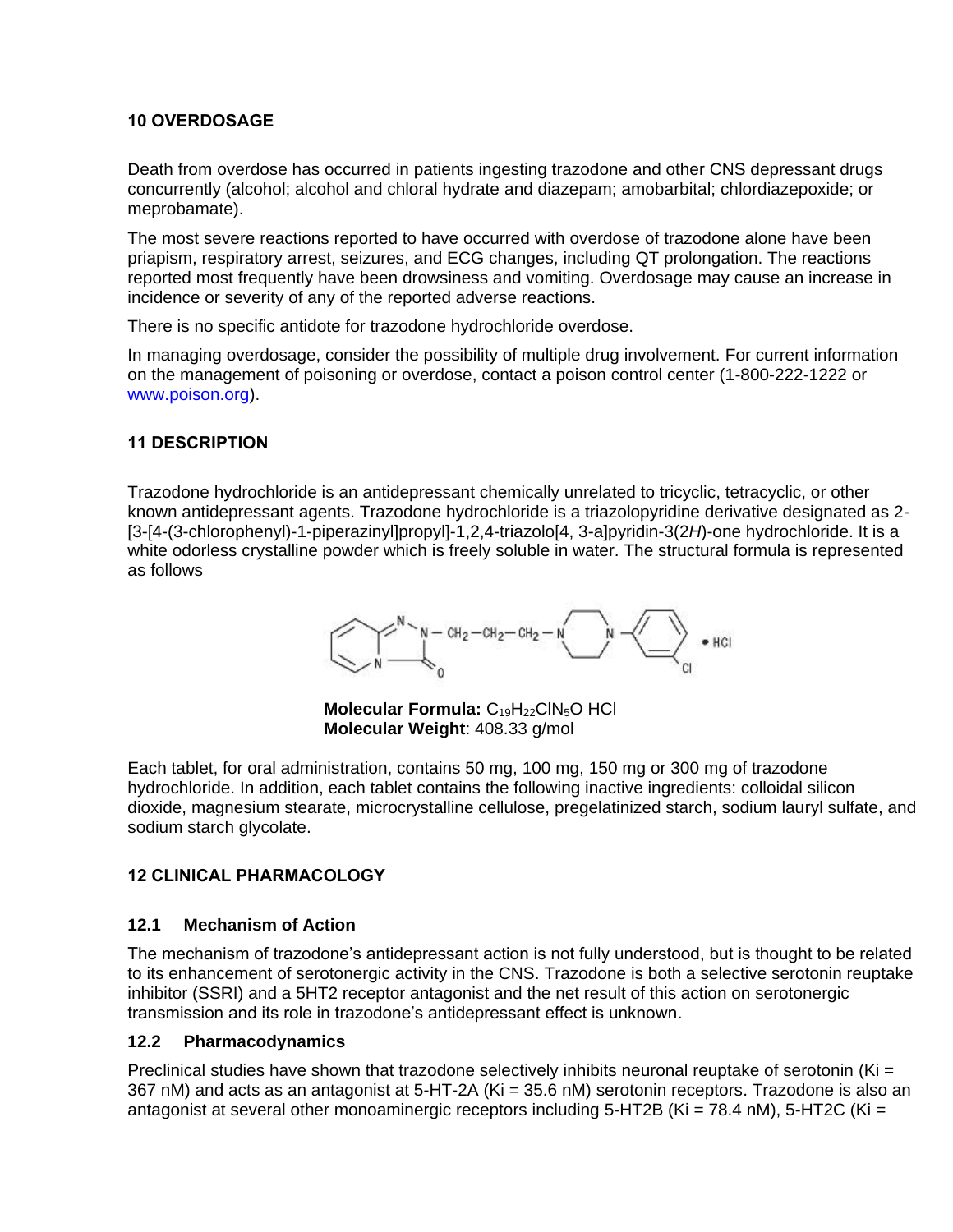#### <span id="page-12-0"></span>**10 OVERDOSAGE**

Death from overdose has occurred in patients ingesting trazodone and other CNS depressant drugs concurrently (alcohol; alcohol and chloral hydrate and diazepam; amobarbital; chlordiazepoxide; or meprobamate).

The most severe reactions reported to have occurred with overdose of trazodone alone have been priapism, respiratory arrest, seizures, and ECG changes, including QT prolongation. The reactions reported most frequently have been drowsiness and vomiting. Overdosage may cause an increase in incidence or severity of any of the reported adverse reactions.

There is no specific antidote for trazodone hydrochloride overdose.

In managing overdosage, consider the possibility of multiple drug involvement. For current information on the management of poisoning or overdose, contact a poison control center (1-800-222-1222 or [www.poison.org\)](http://www.poison.org/).

#### <span id="page-12-1"></span>**11 DESCRIPTION**

Trazodone hydrochloride is an antidepressant chemically unrelated to tricyclic, tetracyclic, or other known antidepressant agents. Trazodone hydrochloride is a triazolopyridine derivative designated as 2- [3-[4-(3-chlorophenyl)-1-piperazinyl]propyl]-1,2,4-triazolo[4, 3-a]pyridin-3(2*H*)-one hydrochloride. It is a white odorless crystalline powder which is freely soluble in water. The structural formula is represented as follows

 $\leq$   $N - N - CH_2 - CH_2 - CH_2 - N$  $\bullet$  HCl

**Molecular Formula: C<sub>19</sub>H<sub>22</sub>ClN<sub>5</sub>O HCl Molecular Weight**: 408.33 g/mol

Each tablet, for oral administration, contains 50 mg, 100 mg, 150 mg or 300 mg of trazodone hydrochloride. In addition, each tablet contains the following inactive ingredients: colloidal silicon dioxide, magnesium stearate, microcrystalline cellulose, pregelatinized starch, sodium lauryl sulfate, and sodium starch glycolate.

## <span id="page-12-2"></span>**12 CLINICAL PHARMACOLOGY**

#### <span id="page-12-3"></span>**12.1 Mechanism of Action**

The mechanism of trazodone's antidepressant action is not fully understood, but is thought to be related to its enhancement of serotonergic activity in the CNS. Trazodone is both a selective serotonin reuptake inhibitor (SSRI) and a 5HT2 receptor antagonist and the net result of this action on serotonergic transmission and its role in trazodone's antidepressant effect is unknown.

#### <span id="page-12-4"></span>**12.2 Pharmacodynamics**

Preclinical studies have shown that trazodone selectively inhibits neuronal reuptake of serotonin (Ki  $=$ 367 nM) and acts as an antagonist at 5-HT-2A (Ki = 35.6 nM) serotonin receptors. Trazodone is also an antagonist at several other monoaminergic receptors including  $5-HT2B$  (Ki = 78.4 nM),  $5-HT2C$  (Ki =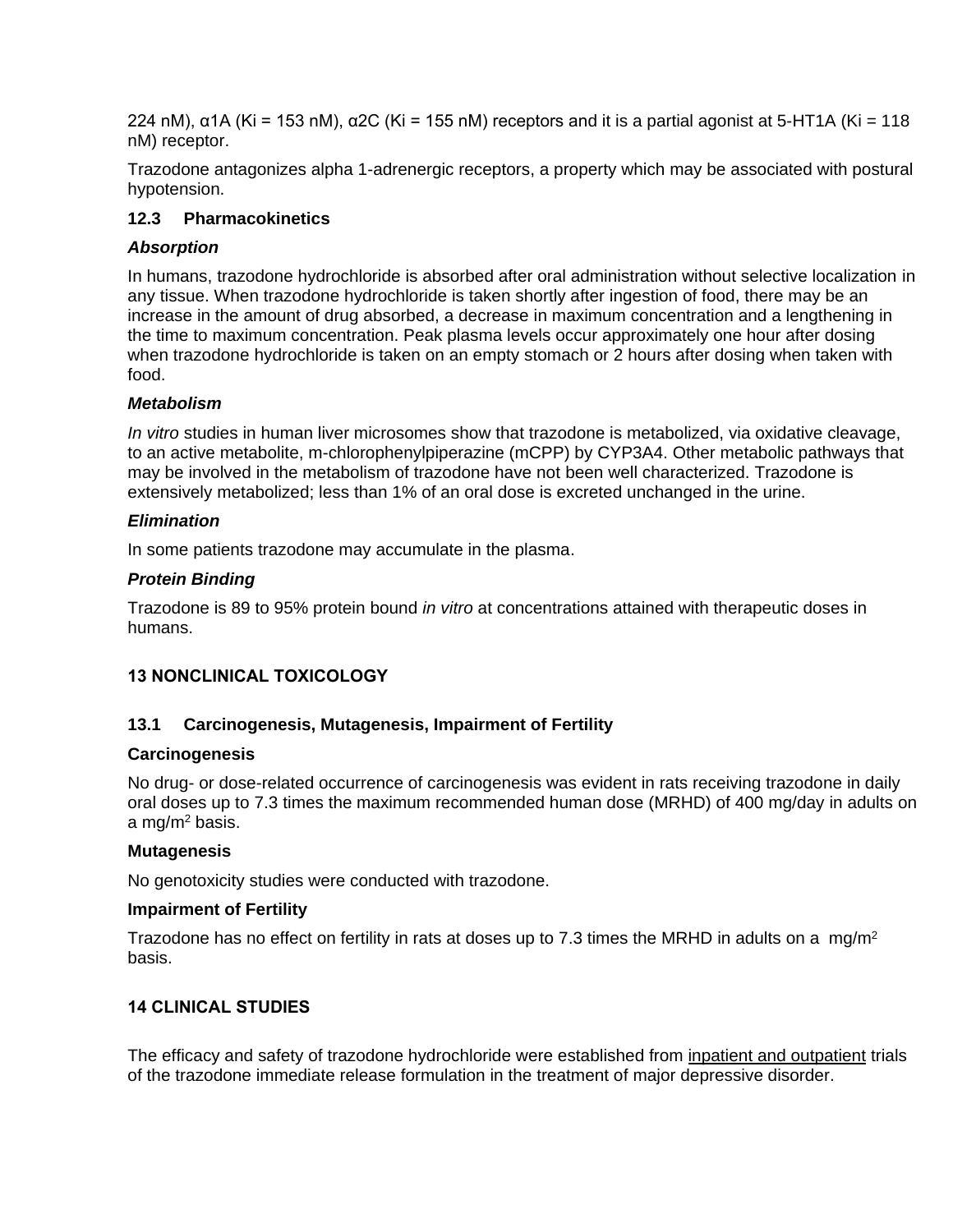224 nM), α1A (Ki = 153 nM), α2C (Ki = 155 nM) receptors and it is a partial agonist at 5-HT1A (Ki = 118 nM) receptor.

Trazodone antagonizes alpha 1-adrenergic receptors, a property which may be associated with postural hypotension.

# <span id="page-13-0"></span>**12.3 Pharmacokinetics**

## *Absorption*

In humans, trazodone hydrochloride is absorbed after oral administration without selective localization in any tissue. When trazodone hydrochloride is taken shortly after ingestion of food, there may be an increase in the amount of drug absorbed, a decrease in maximum concentration and a lengthening in the time to maximum concentration. Peak plasma levels occur approximately one hour after dosing when trazodone hydrochloride is taken on an empty stomach or 2 hours after dosing when taken with food.

# *Metabolism*

*In vitro* studies in human liver microsomes show that trazodone is metabolized, via oxidative cleavage, to an active metabolite, m-chlorophenylpiperazine (mCPP) by CYP3A4. Other metabolic pathways that may be involved in the metabolism of trazodone have not been well characterized. Trazodone is extensively metabolized; less than 1% of an oral dose is excreted unchanged in the urine.

# *Elimination*

In some patients trazodone may accumulate in the plasma.

# *Protein Binding*

Trazodone is 89 to 95% protein bound *in vitro* at concentrations attained with therapeutic doses in humans.

# <span id="page-13-1"></span>**13 NONCLINICAL TOXICOLOGY**

# <span id="page-13-2"></span>**13.1 Carcinogenesis, Mutagenesis, Impairment of Fertility**

## **Carcinogenesis**

No drug- or dose-related occurrence of carcinogenesis was evident in rats receiving trazodone in daily oral doses up to 7.3 times the maximum recommended human dose (MRHD) of 400 mg/day in adults on a mg/m<sup>2</sup> basis.

## **Mutagenesis**

No genotoxicity studies were conducted with trazodone.

## **Impairment of Fertility**

Trazodone has no effect on fertility in rats at doses up to 7.3 times the MRHD in adults on a mg/m<sup>2</sup> basis.

## <span id="page-13-3"></span>**14 CLINICAL STUDIES**

The efficacy and safety of trazodone hydrochloride were established from inpatient and outpatient trials of the trazodone immediate release formulation in the treatment of major depressive disorder.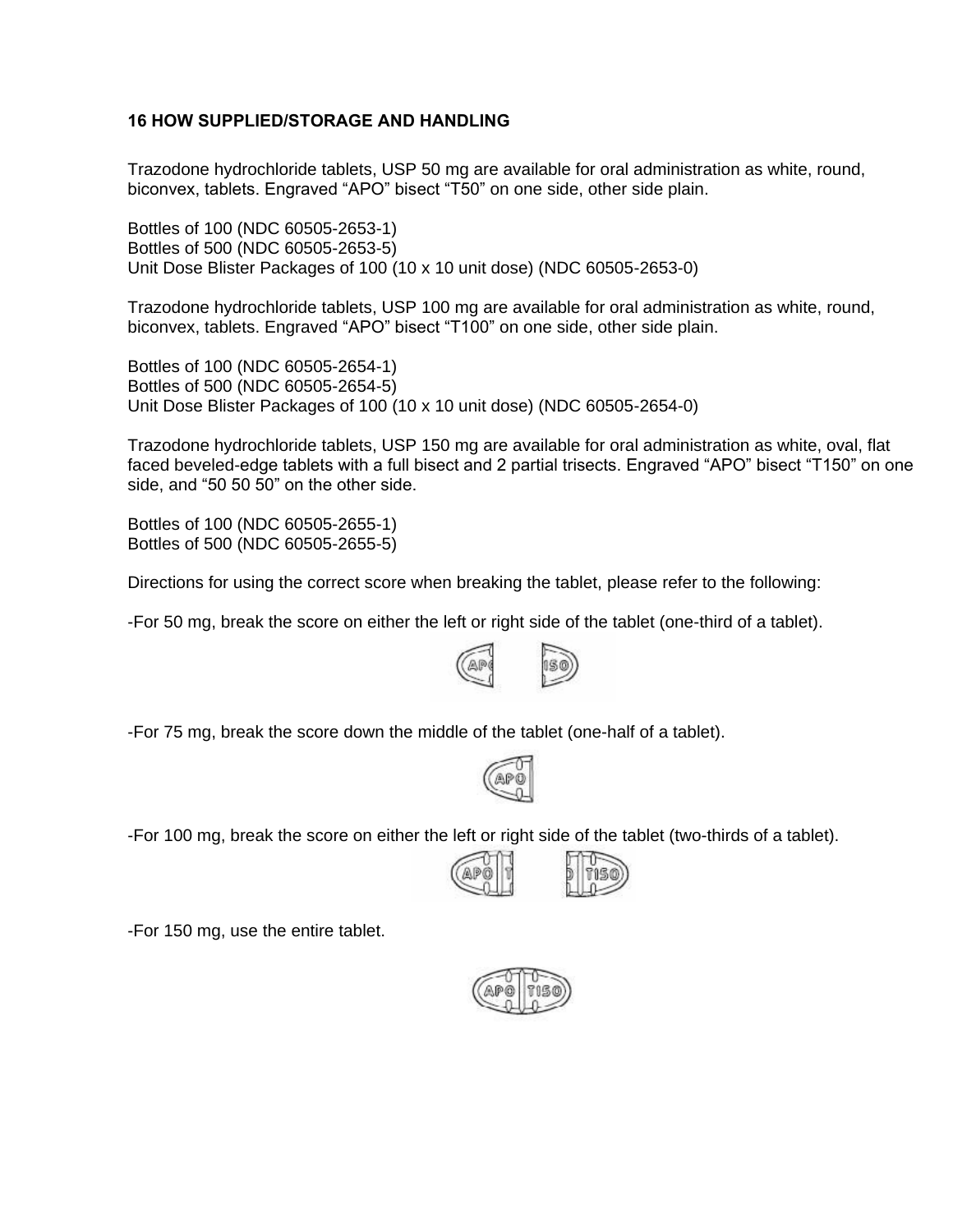## <span id="page-14-0"></span>**16 HOW SUPPLIED/STORAGE AND HANDLING**

Trazodone hydrochloride tablets, USP 50 mg are available for oral administration as white, round, biconvex, tablets. Engraved "APO" bisect "T50" on one side, other side plain.

Bottles of 100 (NDC 60505-2653-1) Bottles of 500 (NDC 60505-2653-5) Unit Dose Blister Packages of 100 (10 x 10 unit dose) (NDC 60505-2653-0)

Trazodone hydrochloride tablets, USP 100 mg are available for oral administration as white, round, biconvex, tablets. Engraved "APO" bisect "T100" on one side, other side plain.

Bottles of 100 (NDC 60505-2654-1) Bottles of 500 (NDC 60505-2654-5) Unit Dose Blister Packages of 100 (10 x 10 unit dose) (NDC 60505-2654-0)

Trazodone hydrochloride tablets, USP 150 mg are available for oral administration as white, oval, flat faced beveled-edge tablets with a full bisect and 2 partial trisects. Engraved "APO" bisect "T150" on one side, and "50 50 50" on the other side.

Bottles of 100 (NDC 60505-2655-1) Bottles of 500 (NDC 60505-2655-5)

Directions for using the correct score when breaking the tablet, please refer to the following:

-For 50 mg, break the score on either the left or right side of the tablet (one-third of a tablet).



-For 75 mg, break the score down the middle of the tablet (one-half of a tablet).



-For 100 mg, break the score on either the left or right side of the tablet (two-thirds of a tablet).



-For 150 mg, use the entire tablet.

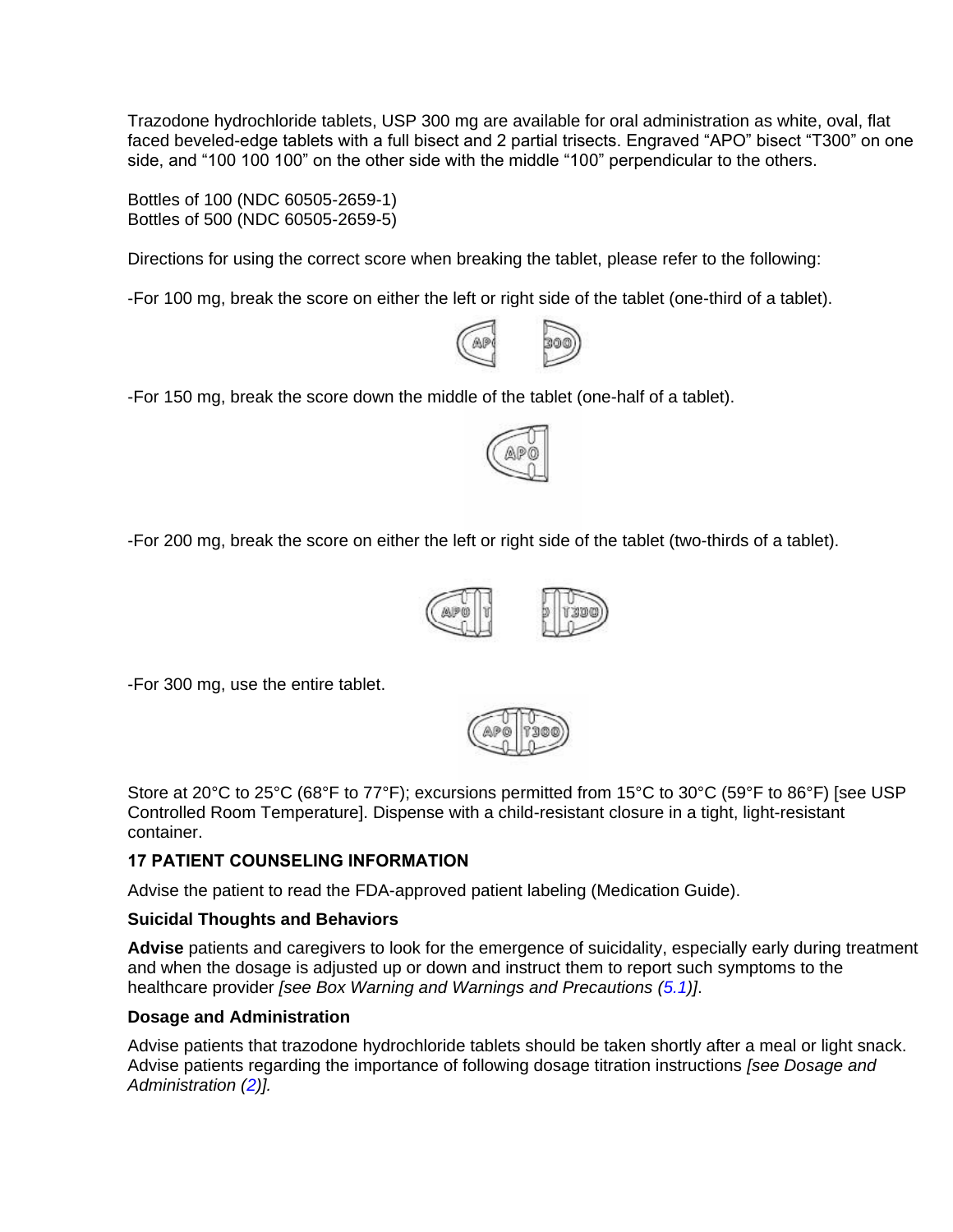Trazodone hydrochloride tablets, USP 300 mg are available for oral administration as white, oval, flat faced beveled-edge tablets with a full bisect and 2 partial trisects. Engraved "APO" bisect "T300" on one side, and "100 100 100" on the other side with the middle "100" perpendicular to the others.

Bottles of 100 (NDC 60505-2659-1) Bottles of 500 (NDC 60505-2659-5)

Directions for using the correct score when breaking the tablet, please refer to the following:

-For 100 mg, break the score on either the left or right side of the tablet (one-third of a tablet).



-For 150 mg, break the score down the middle of the tablet (one-half of a tablet).



-For 200 mg, break the score on either the left or right side of the tablet (two-thirds of a tablet).



-For 300 mg, use the entire tablet.



Store at 20°C to 25°C (68°F to 77°F); excursions permitted from 15°C to 30°C (59°F to 86°F) [see USP Controlled Room Temperature]. Dispense with a child-resistant closure in a tight, light-resistant container.

## <span id="page-15-0"></span>**17 PATIENT COUNSELING INFORMATION**

Advise the patient to read the FDA-approved patient labeling (Medication Guide).

#### **Suicidal Thoughts and Behaviors**

**Advise** patients and caregivers to look for the emergence of suicidality, especially early during treatment and when the dosage is adjusted up or down and instruct them to report such symptoms to the healthcare provider *[see Box Warning and Warnings and Precautions [\(5.1\)](#page-3-0)]*.

#### **Dosage and Administration**

Advise patients that trazodone hydrochloride tablets should be taken shortly after a meal or light snack. Advise patients regarding the importance of following dosage titration instructions *[see Dosage and Administration [\(2\)](#page-2-3)].*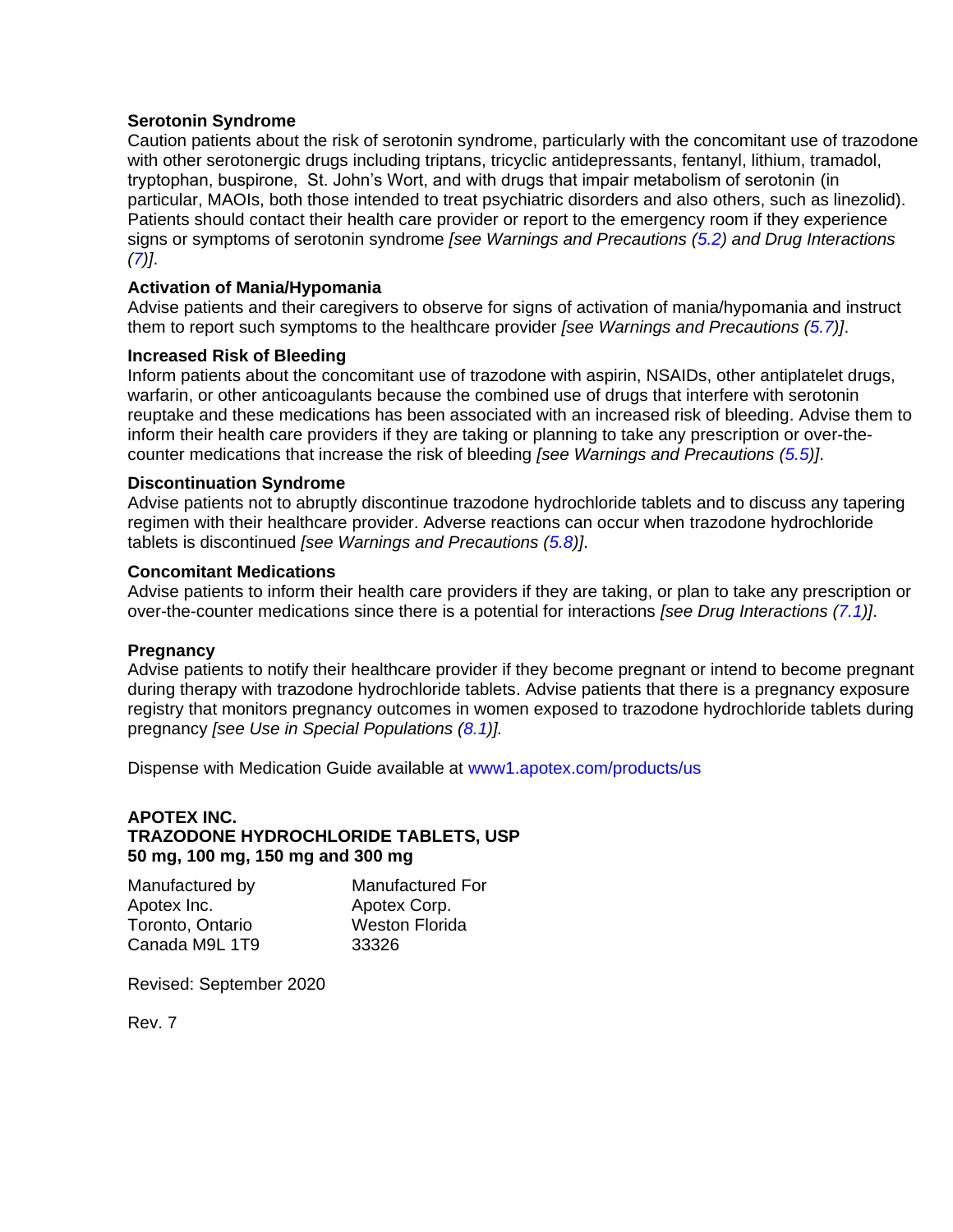#### **Serotonin Syndrome**

Caution patients about the risk of serotonin syndrome, particularly with the concomitant use of trazodone with other serotonergic drugs including triptans, tricyclic antidepressants, fentanyl, lithium, tramadol, tryptophan, buspirone, St. John's Wort, and with drugs that impair metabolism of serotonin (in particular, MAOIs, both those intended to treat psychiatric disorders and also others, such as linezolid). Patients should contact their health care provider or report to the emergency room if they experience signs or symptoms of serotonin syndrome *[see Warnings and Precautions [\(5.2\)](#page-4-0) and Drug Interactions [\(7\)](#page-8-0)]*.

#### **Activation of Mania/Hypomania**

Advise patients and their caregivers to observe for signs of activation of mania/hypomania and instruct them to report such symptoms to the healthcare provider *[see Warnings and Precautions [\(5.7\)](#page-6-0)]*.

#### **Increased Risk of Bleeding**

Inform patients about the concomitant use of trazodone with aspirin, NSAIDs, other antiplatelet drugs, warfarin, or other anticoagulants because the combined use of drugs that interfere with serotonin reuptake and these medications has been associated with an increased risk of bleeding. Advise them to inform their health care providers if they are taking or planning to take any prescription or over-thecounter medications that increase the risk of bleeding *[see Warnings and Precautions [\(5.5\)](#page-5-2)]*.

#### **Discontinuation Syndrome**

Advise patients not to abruptly discontinue trazodone hydrochloride tablets and to discuss any tapering regimen with their healthcare provider. Adverse reactions can occur when trazodone hydrochloride tablets is discontinued *[see Warnings and Precautions [\(5.8\)](#page-6-4)]*.

#### **Concomitant Medications**

Advise patients to inform their health care providers if they are taking, or plan to take any prescription or over-the-counter medications since there is a potential for interactions *[see Drug Interactions [\(7.1\)](#page-8-2)]*.

#### **Pregnancy**

Advise patients to notify their healthcare provider if they become pregnant or intend to become pregnant during therapy with trazodone hydrochloride tablets. Advise patients that there is a pregnancy exposure registry that monitors pregnancy outcomes in women exposed to trazodone hydrochloride tablets during pregnancy *[see Use in Special Populations [\(8.1\)](#page-10-1)].*

Dispense with Medication Guide available at<www1.apotex.com/products/us>

# **APOTEX INC. TRAZODONE HYDROCHLORIDE TABLETS, USP 50 mg, 100 mg, 150 mg and 300 mg**

Manufactured by Manufactured For Apotex Inc. Apotex Corp. Toronto, Ontario Weston Florida Canada M9L 1T9 33326

Revised: September 2020

Rev. 7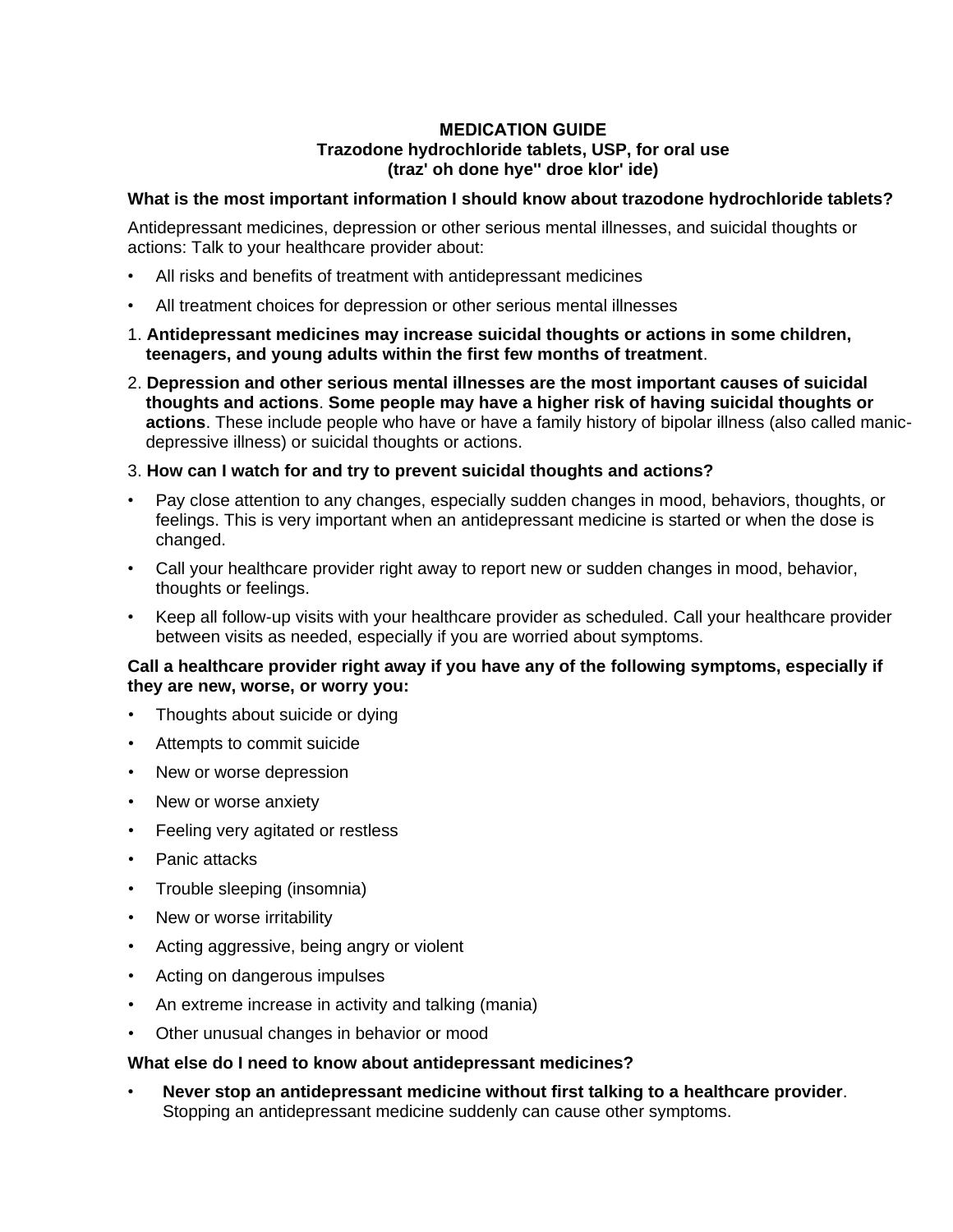# **MEDICATION GUIDE Trazodone hydrochloride tablets, USP, for oral use (traz' oh done hye'' droe klor' ide)**

## **What is the most important information I should know about trazodone hydrochloride tablets?**

Antidepressant medicines, depression or other serious mental illnesses, and suicidal thoughts or actions: Talk to your healthcare provider about:

- All risks and benefits of treatment with antidepressant medicines
- All treatment choices for depression or other serious mental illnesses
- 1. **Antidepressant medicines may increase suicidal thoughts or actions in some children, teenagers, and young adults within the first few months of treatment**.
- 2. **Depression and other serious mental illnesses are the most important causes of suicidal thoughts and actions**. **Some people may have a higher risk of having suicidal thoughts or actions**. These include people who have or have a family history of bipolar illness (also called manicdepressive illness) or suicidal thoughts or actions.

#### 3. **How can I watch for and try to prevent suicidal thoughts and actions?**

- Pay close attention to any changes, especially sudden changes in mood, behaviors, thoughts, or feelings. This is very important when an antidepressant medicine is started or when the dose is changed.
- Call your healthcare provider right away to report new or sudden changes in mood, behavior, thoughts or feelings.
- Keep all follow-up visits with your healthcare provider as scheduled. Call your healthcare provider between visits as needed, especially if you are worried about symptoms.

#### **Call a healthcare provider right away if you have any of the following symptoms, especially if they are new, worse, or worry you:**

- Thoughts about suicide or dying
- Attempts to commit suicide
- New or worse depression
- New or worse anxiety
- Feeling very agitated or restless
- Panic attacks
- Trouble sleeping (insomnia)
- New or worse irritability
- Acting aggressive, being angry or violent
- Acting on dangerous impulses
- An extreme increase in activity and talking (mania)
- Other unusual changes in behavior or mood

#### **What else do I need to know about antidepressant medicines?**

• **Never stop an antidepressant medicine without first talking to a healthcare provider**. Stopping an antidepressant medicine suddenly can cause other symptoms.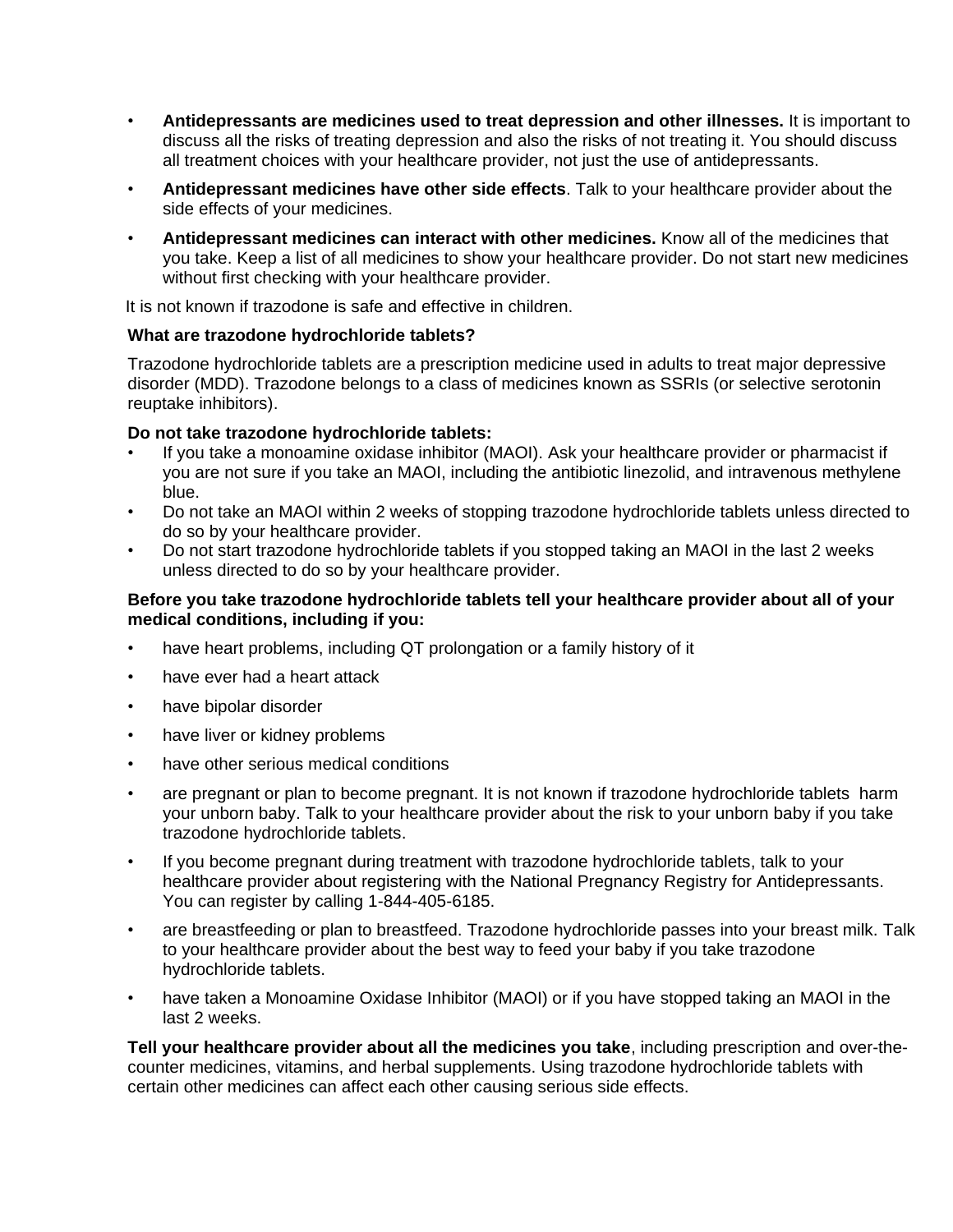- **Antidepressants are medicines used to treat depression and other illnesses.** It is important to discuss all the risks of treating depression and also the risks of not treating it. You should discuss all treatment choices with your healthcare provider, not just the use of antidepressants.
- **Antidepressant medicines have other side effects**. Talk to your healthcare provider about the side effects of your medicines.
- **Antidepressant medicines can interact with other medicines.** Know all of the medicines that you take. Keep a list of all medicines to show your healthcare provider. Do not start new medicines without first checking with your healthcare provider.

It is not known if trazodone is safe and effective in children.

#### **What are trazodone hydrochloride tablets?**

Trazodone hydrochloride tablets are a prescription medicine used in adults to treat major depressive disorder (MDD). Trazodone belongs to a class of medicines known as SSRIs (or selective serotonin reuptake inhibitors).

## **Do not take trazodone hydrochloride tablets:**

- If you take a monoamine oxidase inhibitor (MAOI). Ask your healthcare provider or pharmacist if you are not sure if you take an MAOI, including the antibiotic linezolid, and intravenous methylene blue.
- Do not take an MAOI within 2 weeks of stopping trazodone hydrochloride tablets unless directed to do so by your healthcare provider.
- Do not start trazodone hydrochloride tablets if you stopped taking an MAOI in the last 2 weeks unless directed to do so by your healthcare provider.

## **Before you take trazodone hydrochloride tablets tell your healthcare provider about all of your medical conditions, including if you:**

- have heart problems, including QT prolongation or a family history of it
- have ever had a heart attack
- have bipolar disorder
- have liver or kidney problems
- have other serious medical conditions
- are pregnant or plan to become pregnant. It is not known if trazodone hydrochloride tablets harm your unborn baby. Talk to your healthcare provider about the risk to your unborn baby if you take trazodone hydrochloride tablets.
- If you become pregnant during treatment with trazodone hydrochloride tablets, talk to your healthcare provider about registering with the National Pregnancy Registry for Antidepressants. You can register by calling 1-844-405-6185.
- are breastfeeding or plan to breastfeed. Trazodone hydrochloride passes into your breast milk. Talk to your healthcare provider about the best way to feed your baby if you take trazodone hydrochloride tablets.
- have taken a Monoamine Oxidase Inhibitor (MAOI) or if you have stopped taking an MAOI in the last 2 weeks.

**Tell your healthcare provider about all the medicines you take**, including prescription and over-thecounter medicines, vitamins, and herbal supplements. Using trazodone hydrochloride tablets with certain other medicines can affect each other causing serious side effects.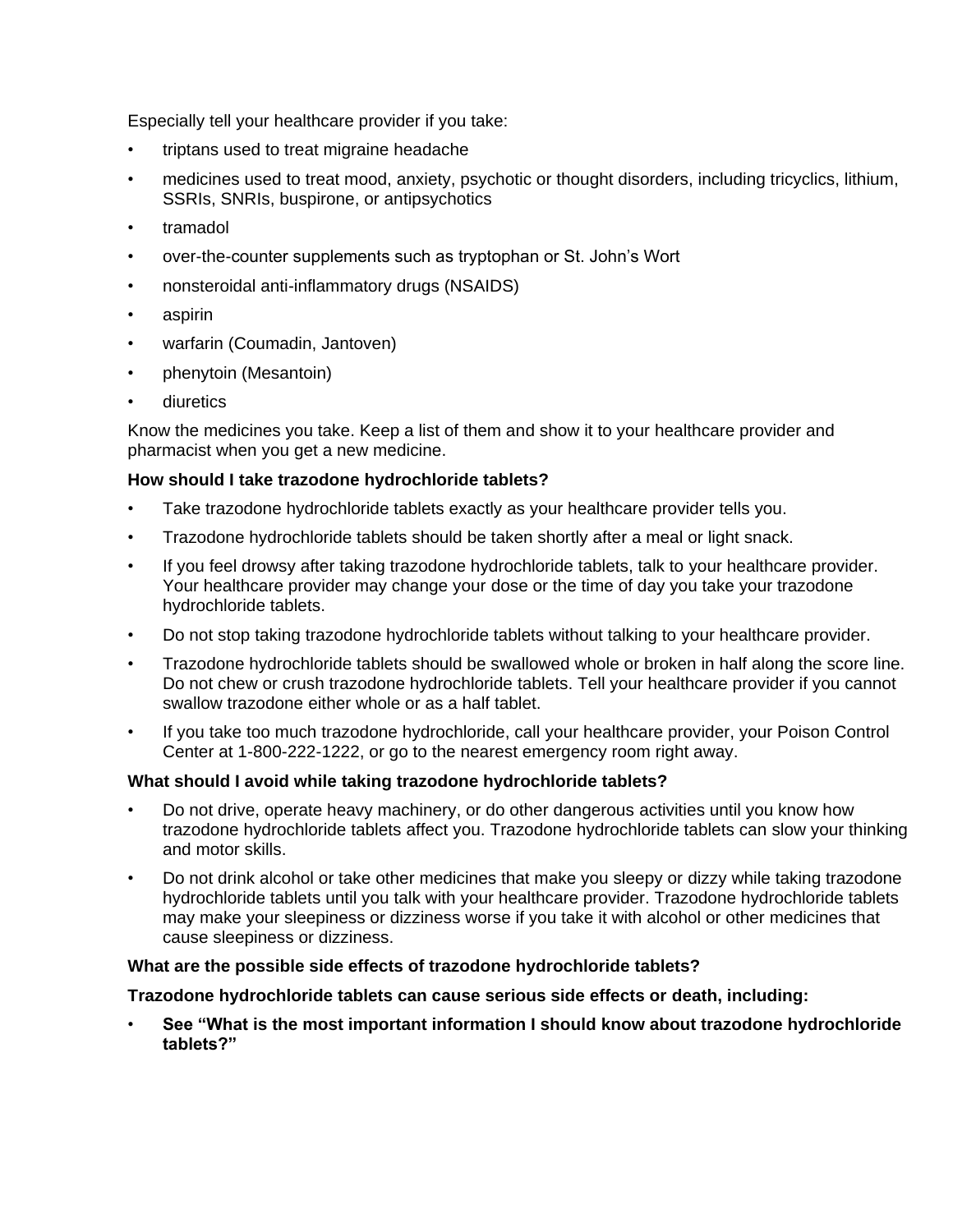Especially tell your healthcare provider if you take:

- triptans used to treat migraine headache
- medicines used to treat mood, anxiety, psychotic or thought disorders, including tricyclics, lithium, SSRIs, SNRIs, buspirone, or antipsychotics
- tramadol
- over-the-counter supplements such as tryptophan or St. John's Wort
- nonsteroidal anti-inflammatory drugs (NSAIDS)
- aspirin
- warfarin (Coumadin, Jantoven)
- phenytoin (Mesantoin)
- diuretics

Know the medicines you take. Keep a list of them and show it to your healthcare provider and pharmacist when you get a new medicine.

#### **How should I take trazodone hydrochloride tablets?**

- Take trazodone hydrochloride tablets exactly as your healthcare provider tells you.
- Trazodone hydrochloride tablets should be taken shortly after a meal or light snack.
- If you feel drowsy after taking trazodone hydrochloride tablets, talk to your healthcare provider. Your healthcare provider may change your dose or the time of day you take your trazodone hydrochloride tablets.
- Do not stop taking trazodone hydrochloride tablets without talking to your healthcare provider.
- Trazodone hydrochloride tablets should be swallowed whole or broken in half along the score line. Do not chew or crush trazodone hydrochloride tablets. Tell your healthcare provider if you cannot swallow trazodone either whole or as a half tablet.
- If you take too much trazodone hydrochloride, call your healthcare provider, your Poison Control Center at 1-800-222-1222, or go to the nearest emergency room right away.

#### **What should I avoid while taking trazodone hydrochloride tablets?**

- Do not drive, operate heavy machinery, or do other dangerous activities until you know how trazodone hydrochloride tablets affect you. Trazodone hydrochloride tablets can slow your thinking and motor skills.
- Do not drink alcohol or take other medicines that make you sleepy or dizzy while taking trazodone hydrochloride tablets until you talk with your healthcare provider. Trazodone hydrochloride tablets may make your sleepiness or dizziness worse if you take it with alcohol or other medicines that cause sleepiness or dizziness.

#### **What are the possible side effects of trazodone hydrochloride tablets?**

#### **Trazodone hydrochloride tablets can cause serious side effects or death, including:**

• **See "What is the most important information I should know about trazodone hydrochloride tablets?"**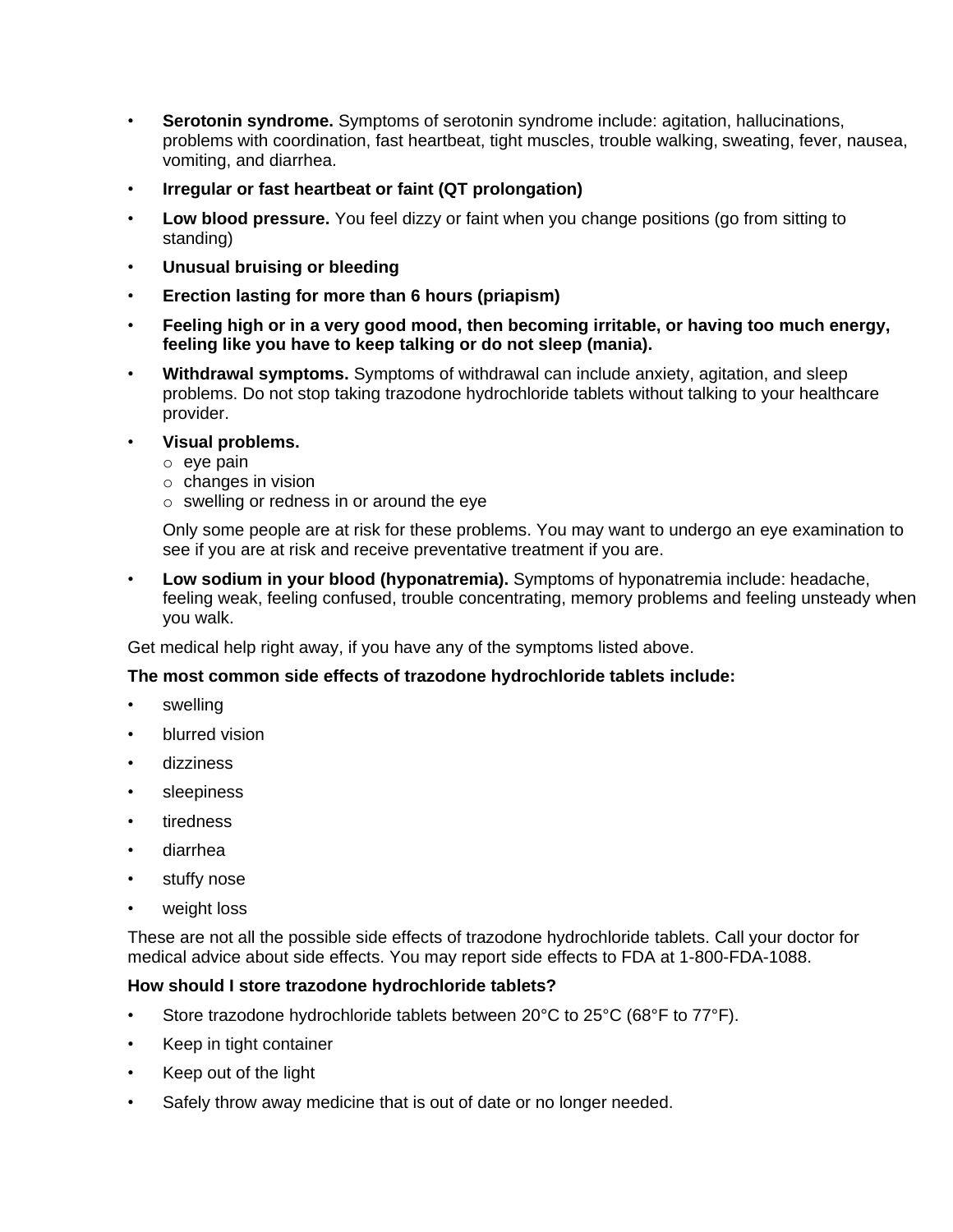- **Serotonin syndrome.** Symptoms of serotonin syndrome include: agitation, hallucinations, problems with coordination, fast heartbeat, tight muscles, trouble walking, sweating, fever, nausea, vomiting, and diarrhea.
- **Irregular or fast heartbeat or faint (QT prolongation)**
- **Low blood pressure.** You feel dizzy or faint when you change positions (go from sitting to standing)
- **Unusual bruising or bleeding**
- **Erection lasting for more than 6 hours (priapism)**
- **Feeling high or in a very good mood, then becoming irritable, or having too much energy, feeling like you have to keep talking or do not sleep (mania).**
- **Withdrawal symptoms.** Symptoms of withdrawal can include anxiety, agitation, and sleep problems. Do not stop taking trazodone hydrochloride tablets without talking to your healthcare provider.
- **Visual problems.**
	- o eye pain
	- o changes in vision
	- o swelling or redness in or around the eye

Only some people are at risk for these problems. You may want to undergo an eye examination to see if you are at risk and receive preventative treatment if you are.

• **Low sodium in your blood (hyponatremia).** Symptoms of hyponatremia include: headache, feeling weak, feeling confused, trouble concentrating, memory problems and feeling unsteady when you walk.

Get medical help right away, if you have any of the symptoms listed above.

## **The most common side effects of trazodone hydrochloride tablets include:**

- swelling
- blurred vision
- dizziness
- sleepiness
- tiredness
- diarrhea
- stuffy nose
- weight loss

These are not all the possible side effects of trazodone hydrochloride tablets. Call your doctor for medical advice about side effects. You may report side effects to FDA at 1-800-FDA-1088.

#### **How should I store trazodone hydrochloride tablets?**

- Store trazodone hydrochloride tablets between  $20^{\circ}$ C to  $25^{\circ}$ C (68°F to 77°F).
- Keep in tight container
- Keep out of the light
- Safely throw away medicine that is out of date or no longer needed.